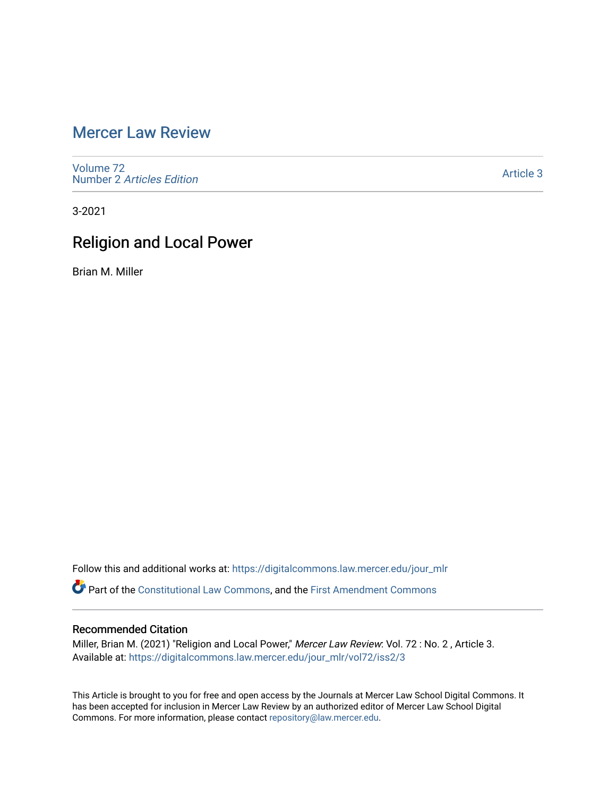# [Mercer Law Review](https://digitalcommons.law.mercer.edu/jour_mlr)

[Volume 72](https://digitalcommons.law.mercer.edu/jour_mlr/vol72) Number 2 [Articles Edition](https://digitalcommons.law.mercer.edu/jour_mlr/vol72/iss2) 

[Article 3](https://digitalcommons.law.mercer.edu/jour_mlr/vol72/iss2/3) 

3-2021

# Religion and Local Power

Brian M. Miller

Follow this and additional works at: [https://digitalcommons.law.mercer.edu/jour\\_mlr](https://digitalcommons.law.mercer.edu/jour_mlr?utm_source=digitalcommons.law.mercer.edu%2Fjour_mlr%2Fvol72%2Fiss2%2F3&utm_medium=PDF&utm_campaign=PDFCoverPages) Part of the [Constitutional Law Commons,](http://network.bepress.com/hgg/discipline/589?utm_source=digitalcommons.law.mercer.edu%2Fjour_mlr%2Fvol72%2Fiss2%2F3&utm_medium=PDF&utm_campaign=PDFCoverPages) and the [First Amendment Commons](http://network.bepress.com/hgg/discipline/1115?utm_source=digitalcommons.law.mercer.edu%2Fjour_mlr%2Fvol72%2Fiss2%2F3&utm_medium=PDF&utm_campaign=PDFCoverPages)

# Recommended Citation

Miller, Brian M. (2021) "Religion and Local Power," Mercer Law Review: Vol. 72: No. 2, Article 3. Available at: [https://digitalcommons.law.mercer.edu/jour\\_mlr/vol72/iss2/3](https://digitalcommons.law.mercer.edu/jour_mlr/vol72/iss2/3?utm_source=digitalcommons.law.mercer.edu%2Fjour_mlr%2Fvol72%2Fiss2%2F3&utm_medium=PDF&utm_campaign=PDFCoverPages)

This Article is brought to you for free and open access by the Journals at Mercer Law School Digital Commons. It has been accepted for inclusion in Mercer Law Review by an authorized editor of Mercer Law School Digital Commons. For more information, please contact [repository@law.mercer.edu.](mailto:repository@law.mercer.edu)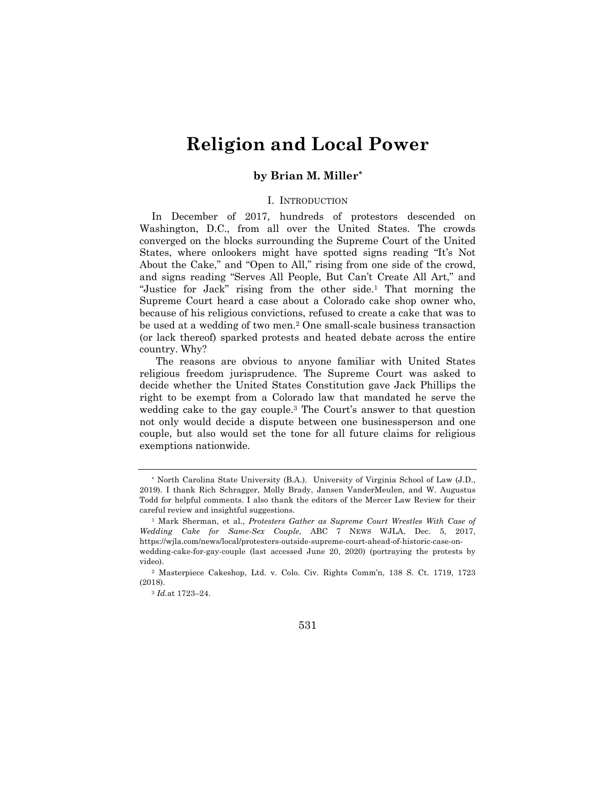# **Religion and Local Power**

# **by Brian M. Miller***\**

### I. INTRODUCTION

In December of 2017, hundreds of protestors descended on Washington, D.C., from all over the United States. The crowds converged on the blocks surrounding the Supreme Court of the United States, where onlookers might have spotted signs reading "It's Not About the Cake," and "Open to All," rising from one side of the crowd, and signs reading "Serves All People, But Can't Create All Art," and "Justice for Jack" rising from the other side.1 That morning the Supreme Court heard a case about a Colorado cake shop owner who, because of his religious convictions, refused to create a cake that was to be used at a wedding of two men.2 One small-scale business transaction (or lack thereof) sparked protests and heated debate across the entire country. Why?

The reasons are obvious to anyone familiar with United States religious freedom jurisprudence. The Supreme Court was asked to decide whether the United States Constitution gave Jack Phillips the right to be exempt from a Colorado law that mandated he serve the wedding cake to the gay couple.3 The Court's answer to that question not only would decide a dispute between one businessperson and one couple, but also would set the tone for all future claims for religious exemptions nationwide.

<sup>\*</sup> North Carolina State University (B.A.). University of Virginia School of Law (J.D., 2019). I thank Rich Schragger, Molly Brady, Jansen VanderMeulen, and W. Augustus Todd for helpful comments. I also thank the editors of the Mercer Law Review for their careful review and insightful suggestions.

<sup>1</sup> Mark Sherman, et al., *Protesters Gather as Supreme Court Wrestles With Case of Wedding Cake for Same-Sex Couple*, ABC 7 NEWS WJLA, Dec. 5, 2017, https://wjla.com/news/local/protesters-outside-supreme-court-ahead-of-historic-case-onwedding-cake-for-gay-couple (last accessed June 20, 2020) (portraying the protests by video).

<sup>2</sup> Masterpiece Cakeshop, Ltd. v. Colo. Civ. Rights Comm'n, 138 S. Ct. 1719, 1723 (2018).

<sup>3</sup> *Id.*at 1723–24.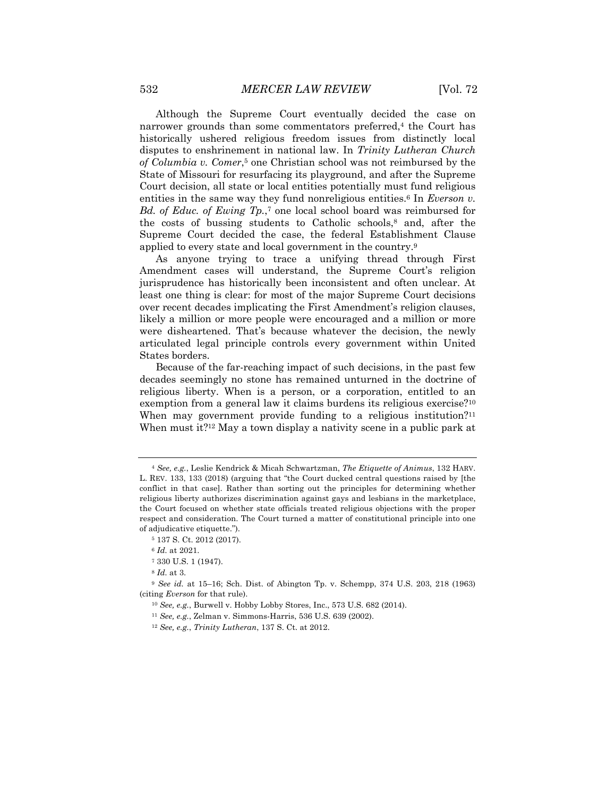Although the Supreme Court eventually decided the case on narrower grounds than some commentators preferred,<sup>4</sup> the Court has historically ushered religious freedom issues from distinctly local disputes to enshrinement in national law. In *Trinity Lutheran Church of Columbia v. Comer*,5 one Christian school was not reimbursed by the State of Missouri for resurfacing its playground, and after the Supreme Court decision, all state or local entities potentially must fund religious entities in the same way they fund nonreligious entities.<sup>6</sup> In *Everson v. Bd. of Educ. of Ewing Tp.*,7 one local school board was reimbursed for the costs of bussing students to Catholic schools,8 and, after the Supreme Court decided the case, the federal Establishment Clause applied to every state and local government in the country.9

As anyone trying to trace a unifying thread through First Amendment cases will understand, the Supreme Court's religion jurisprudence has historically been inconsistent and often unclear. At least one thing is clear: for most of the major Supreme Court decisions over recent decades implicating the First Amendment's religion clauses, likely a million or more people were encouraged and a million or more were disheartened. That's because whatever the decision, the newly articulated legal principle controls every government within United States borders.

Because of the far-reaching impact of such decisions, in the past few decades seemingly no stone has remained unturned in the doctrine of religious liberty. When is a person, or a corporation, entitled to an exemption from a general law it claims burdens its religious exercise?<sup>10</sup> When may government provide funding to a religious institution?<sup>11</sup> When must it?<sup>12</sup> May a town display a nativity scene in a public park at

<sup>5</sup> 137 S. Ct. 2012 (2017).

<sup>8</sup> *Id.* at 3.

<sup>4</sup> *See, e.g.*, Leslie Kendrick & Micah Schwartzman, *The Etiquette of Animus*, 132 HARV. L. REV. 133, 133 (2018) (arguing that "the Court ducked central questions raised by [the conflict in that case]. Rather than sorting out the principles for determining whether religious liberty authorizes discrimination against gays and lesbians in the marketplace, the Court focused on whether state officials treated religious objections with the proper respect and consideration. The Court turned a matter of constitutional principle into one of adjudicative etiquette.").

<sup>6</sup> *Id.* at 2021.

<sup>7</sup> 330 U.S. 1 (1947).

<sup>9</sup> *See id.* at 15–16; Sch. Dist. of Abington Tp. v. Schempp, 374 U.S. 203, 218 (1963) (citing *Everson* for that rule).

<sup>10</sup> *See, e.g.*, Burwell v. Hobby Lobby Stores, Inc., 573 U.S. 682 (2014).

<sup>11</sup> *See, e.g.*, Zelman v. Simmons-Harris, 536 U.S. 639 (2002).

<sup>12</sup> *See, e.g.*, *Trinity Lutheran*, 137 S. Ct. at 2012.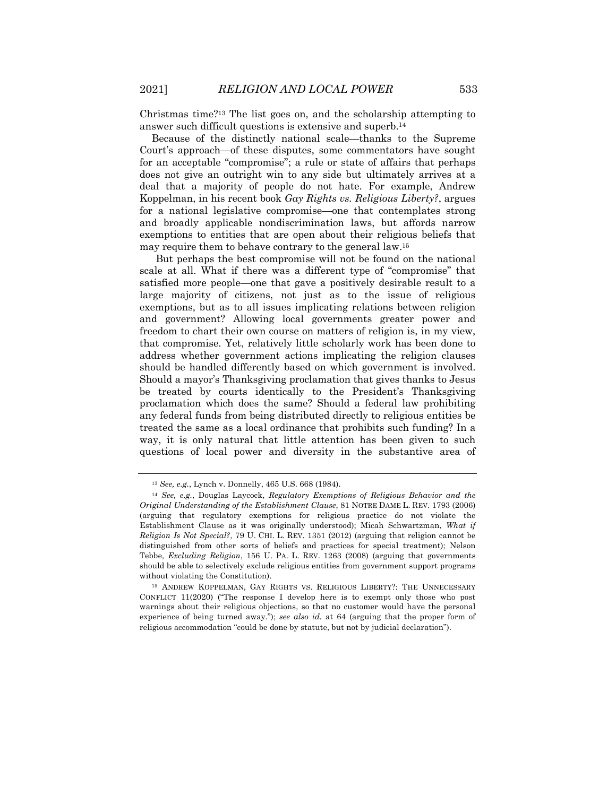Christmas time?13 The list goes on, and the scholarship attempting to answer such difficult questions is extensive and superb.14

Because of the distinctly national scale—thanks to the Supreme Court's approach—of these disputes, some commentators have sought for an acceptable "compromise"; a rule or state of affairs that perhaps does not give an outright win to any side but ultimately arrives at a deal that a majority of people do not hate. For example, Andrew Koppelman, in his recent book *Gay Rights vs. Religious Liberty?*, argues for a national legislative compromise—one that contemplates strong and broadly applicable nondiscrimination laws, but affords narrow exemptions to entities that are open about their religious beliefs that may require them to behave contrary to the general law.15

But perhaps the best compromise will not be found on the national scale at all. What if there was a different type of "compromise" that satisfied more people—one that gave a positively desirable result to a large majority of citizens, not just as to the issue of religious exemptions, but as to all issues implicating relations between religion and government? Allowing local governments greater power and freedom to chart their own course on matters of religion is, in my view, that compromise. Yet, relatively little scholarly work has been done to address whether government actions implicating the religion clauses should be handled differently based on which government is involved. Should a mayor's Thanksgiving proclamation that gives thanks to Jesus be treated by courts identically to the President's Thanksgiving proclamation which does the same? Should a federal law prohibiting any federal funds from being distributed directly to religious entities be treated the same as a local ordinance that prohibits such funding? In a way, it is only natural that little attention has been given to such questions of local power and diversity in the substantive area of

<sup>13</sup> *See, e.g.*, Lynch v. Donnelly, 465 U.S. 668 (1984).

<sup>14</sup> *See, e.g.*, Douglas Laycock, *Regulatory Exemptions of Religious Behavior and the Original Understanding of the Establishment Clause*, 81 NOTRE DAME L. REV. 1793 (2006) (arguing that regulatory exemptions for religious practice do not violate the Establishment Clause as it was originally understood); Micah Schwartzman, *What if Religion Is Not Special?*, 79 U. CHI. L. REV. 1351 (2012) (arguing that religion cannot be distinguished from other sorts of beliefs and practices for special treatment); Nelson Tebbe, *Excluding Religion*, 156 U. PA. L. REV. 1263 (2008) (arguing that governments should be able to selectively exclude religious entities from government support programs without violating the Constitution).

<sup>15</sup> ANDREW KOPPELMAN, GAY RIGHTS VS. RELIGIOUS LIBERTY?: THE UNNECESSARY CONFLICT 11(2020) ("The response I develop here is to exempt only those who post warnings about their religious objections, so that no customer would have the personal experience of being turned away."); *see also id.* at 64 (arguing that the proper form of religious accommodation "could be done by statute, but not by judicial declaration").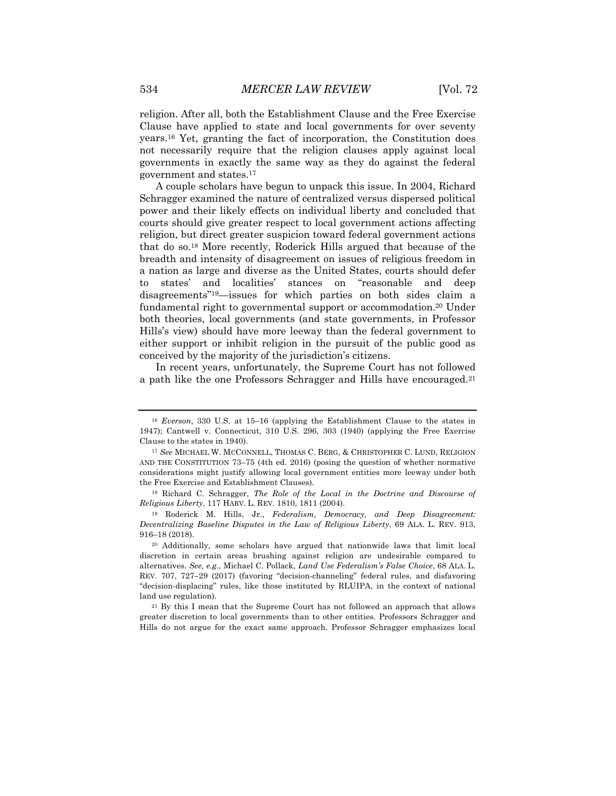religion. After all, both the Establishment Clause and the Free Exercise Clause have applied to state and local governments for over seventy years.16 Yet, granting the fact of incorporation, the Constitution does not necessarily require that the religion clauses apply against local governments in exactly the same way as they do against the federal government and states.17

A couple scholars have begun to unpack this issue. In 2004, Richard Schragger examined the nature of centralized versus dispersed political power and their likely effects on individual liberty and concluded that courts should give greater respect to local government actions affecting religion, but direct greater suspicion toward federal government actions that do so.18 More recently, Roderick Hills argued that because of the breadth and intensity of disagreement on issues of religious freedom in a nation as large and diverse as the United States, courts should defer to states' and localities' stances on "reasonable and deep disagreements"19—issues for which parties on both sides claim a fundamental right to governmental support or accommodation.20 Under both theories, local governments (and state governments, in Professor Hills's view) should have more leeway than the federal government to either support or inhibit religion in the pursuit of the public good as conceived by the majority of the jurisdiction's citizens.

In recent years, unfortunately, the Supreme Court has not followed a path like the one Professors Schragger and Hills have encouraged.21

<sup>16</sup> *Everson*, 330 U.S. at 15–16 (applying the Establishment Clause to the states in 1947); Cantwell v. Connecticut, 310 U.S. 296, 303 (1940) (applying the Free Exercise Clause to the states in 1940).

<sup>17</sup> *See* MICHAEL W. MCCONNELL, THOMAS C. BERG, & CHRISTOPHER C. LUND, RELIGION AND THE CONSTITUTION 73–75 (4th ed. 2016) (posing the question of whether normative considerations might justify allowing local government entities more leeway under both the Free Exercise and Establishment Clauses).

<sup>18</sup> Richard C. Schragger, *The Role of the Local in the Doctrine and Discourse of Religious Liberty*, 117 HARV. L. REV. 1810, 1811 (2004).

<sup>19</sup> Roderick M. Hills, Jr., *Federalism, Democracy, and Deep Disagreement: Decentralizing Baseline Disputes in the Law of Religious Liberty*, 69 ALA. L. REV. 913, 916–18 (2018).

<sup>20</sup> Additionally, some scholars have argued that nationwide laws that limit local discretion in certain areas brushing against religion are undesirable compared to alternatives. *See, e.g.*, Michael C. Pollack, *Land Use Federalism's False Choice*, 68 ALA. L. REV. 707, 727–29 (2017) (favoring "decision-channeling" federal rules, and disfavoring "decision-displacing" rules, like those instituted by RLUIPA, in the context of national land use regulation).

<sup>&</sup>lt;sup>21</sup> By this I mean that the Supreme Court has not followed an approach that allows greater discretion to local governments than to other entities. Professors Schragger and Hills do not argue for the exact same approach. Professor Schragger emphasizes local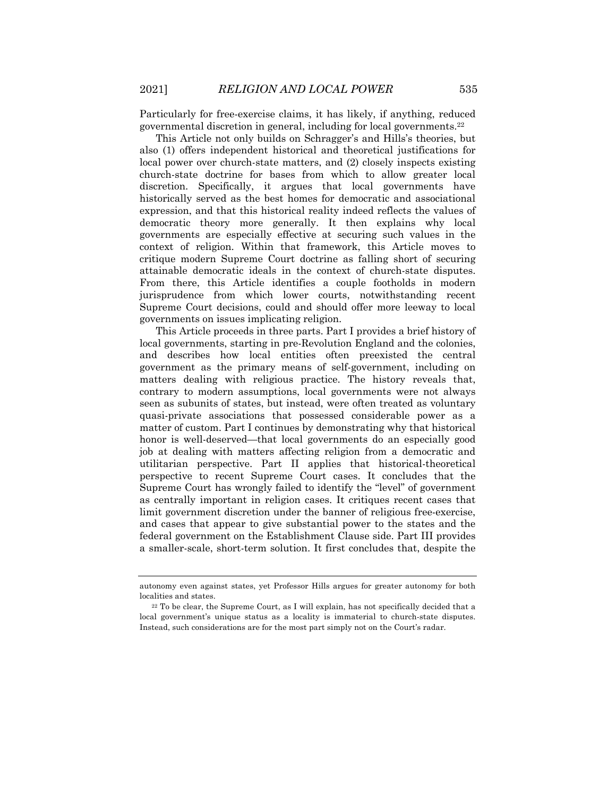Particularly for free-exercise claims, it has likely, if anything, reduced governmental discretion in general, including for local governments.22

This Article not only builds on Schragger's and Hills's theories, but also (1) offers independent historical and theoretical justifications for local power over church-state matters, and (2) closely inspects existing church-state doctrine for bases from which to allow greater local discretion. Specifically, it argues that local governments have historically served as the best homes for democratic and associational expression, and that this historical reality indeed reflects the values of democratic theory more generally. It then explains why local governments are especially effective at securing such values in the context of religion. Within that framework, this Article moves to critique modern Supreme Court doctrine as falling short of securing attainable democratic ideals in the context of church-state disputes. From there, this Article identifies a couple footholds in modern jurisprudence from which lower courts, notwithstanding recent Supreme Court decisions, could and should offer more leeway to local governments on issues implicating religion.

This Article proceeds in three parts. Part I provides a brief history of local governments, starting in pre-Revolution England and the colonies, and describes how local entities often preexisted the central government as the primary means of self-government, including on matters dealing with religious practice. The history reveals that, contrary to modern assumptions, local governments were not always seen as subunits of states, but instead, were often treated as voluntary quasi-private associations that possessed considerable power as a matter of custom. Part I continues by demonstrating why that historical honor is well-deserved—that local governments do an especially good job at dealing with matters affecting religion from a democratic and utilitarian perspective. Part II applies that historical-theoretical perspective to recent Supreme Court cases. It concludes that the Supreme Court has wrongly failed to identify the "level" of government as centrally important in religion cases. It critiques recent cases that limit government discretion under the banner of religious free-exercise, and cases that appear to give substantial power to the states and the federal government on the Establishment Clause side. Part III provides a smaller-scale, short-term solution. It first concludes that, despite the

autonomy even against states, yet Professor Hills argues for greater autonomy for both localities and states.

<sup>22</sup> To be clear, the Supreme Court, as I will explain, has not specifically decided that a local government's unique status as a locality is immaterial to church-state disputes. Instead, such considerations are for the most part simply not on the Court's radar.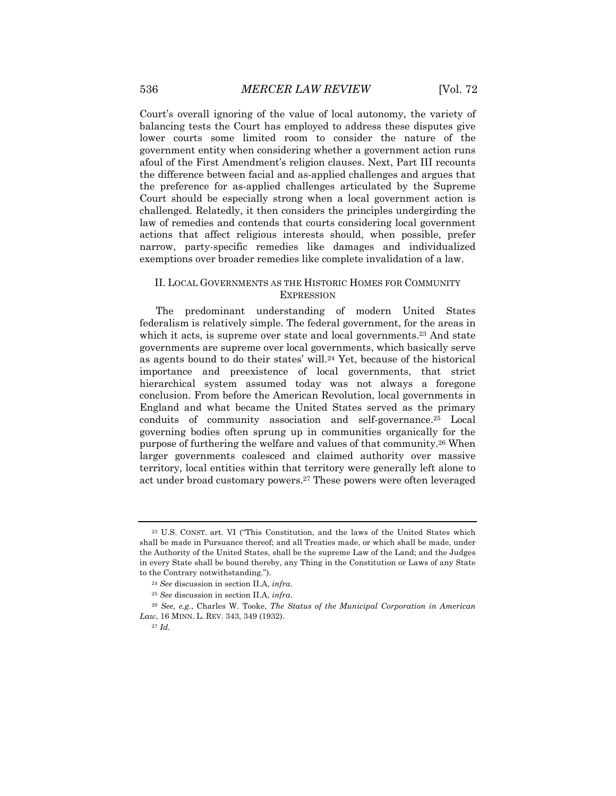Court's overall ignoring of the value of local autonomy, the variety of balancing tests the Court has employed to address these disputes give lower courts some limited room to consider the nature of the government entity when considering whether a government action runs afoul of the First Amendment's religion clauses. Next, Part III recounts the difference between facial and as-applied challenges and argues that the preference for as-applied challenges articulated by the Supreme Court should be especially strong when a local government action is challenged. Relatedly, it then considers the principles undergirding the law of remedies and contends that courts considering local government actions that affect religious interests should, when possible, prefer narrow, party-specific remedies like damages and individualized exemptions over broader remedies like complete invalidation of a law.

# II. LOCAL GOVERNMENTS AS THE HISTORIC HOMES FOR COMMUNITY **EXPRESSION**

The predominant understanding of modern United States federalism is relatively simple. The federal government, for the areas in which it acts, is supreme over state and local governments.<sup>23</sup> And state governments are supreme over local governments, which basically serve as agents bound to do their states' will.24 Yet, because of the historical importance and preexistence of local governments, that strict hierarchical system assumed today was not always a foregone conclusion. From before the American Revolution, local governments in England and what became the United States served as the primary conduits of community association and self-governance.25 Local governing bodies often sprung up in communities organically for the purpose of furthering the welfare and values of that community.26 When larger governments coalesced and claimed authority over massive territory, local entities within that territory were generally left alone to act under broad customary powers.27 These powers were often leveraged

<sup>23</sup> U.S. CONST. art. VI ("This Constitution, and the laws of the United States which shall be made in Pursuance thereof; and all Treaties made, or which shall be made, under the Authority of the United States, shall be the supreme Law of the Land; and the Judges in every State shall be bound thereby, any Thing in the Constitution or Laws of any State to the Contrary notwithstanding.").

<sup>24</sup> *See* discussion in section II.A, *infra*.

<sup>25</sup> *See* discussion in section II.A, *infra*.

<sup>26</sup> *See, e.g.*, Charles W. Tooke, *The Status of the Municipal Corporation in American Law*, 16 MINN. L. REV. 343, 349 (1932).

<sup>27</sup> *Id.*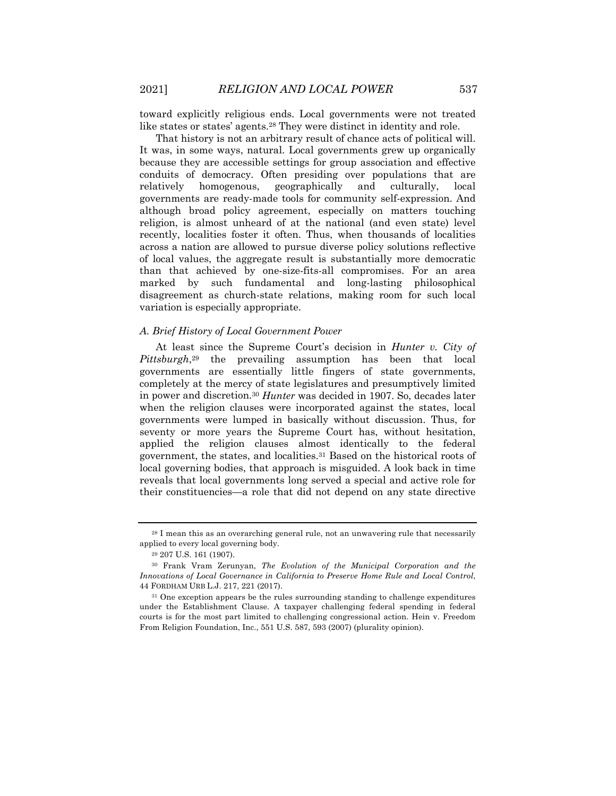toward explicitly religious ends. Local governments were not treated like states or states' agents.28 They were distinct in identity and role.

That history is not an arbitrary result of chance acts of political will. It was, in some ways, natural. Local governments grew up organically because they are accessible settings for group association and effective conduits of democracy. Often presiding over populations that are relatively homogenous, geographically and culturally, local governments are ready-made tools for community self-expression. And although broad policy agreement, especially on matters touching religion, is almost unheard of at the national (and even state) level recently, localities foster it often. Thus, when thousands of localities across a nation are allowed to pursue diverse policy solutions reflective of local values, the aggregate result is substantially more democratic than that achieved by one-size-fits-all compromises. For an area marked by such fundamental and long-lasting philosophical disagreement as church-state relations, making room for such local variation is especially appropriate.

# *A. Brief History of Local Government Power*

At least since the Supreme Court's decision in *Hunter v. City of Pittsburgh*,29 the prevailing assumption has been that local governments are essentially little fingers of state governments, completely at the mercy of state legislatures and presumptively limited in power and discretion.30 *Hunter* was decided in 1907. So, decades later when the religion clauses were incorporated against the states, local governments were lumped in basically without discussion. Thus, for seventy or more years the Supreme Court has, without hesitation, applied the religion clauses almost identically to the federal government, the states, and localities.31 Based on the historical roots of local governing bodies, that approach is misguided. A look back in time reveals that local governments long served a special and active role for their constituencies—a role that did not depend on any state directive

<sup>28</sup> I mean this as an overarching general rule, not an unwavering rule that necessarily applied to every local governing body.

<sup>29</sup> 207 U.S. 161 (1907).

<sup>30</sup> Frank Vram Zerunyan, *The Evolution of the Municipal Corporation and the Innovations of Local Governance in California to Preserve Home Rule and Local Control*, 44 FORDHAM URB L.J. 217, 221 (2017).

<sup>31</sup> One exception appears be the rules surrounding standing to challenge expenditures under the Establishment Clause. A taxpayer challenging federal spending in federal courts is for the most part limited to challenging congressional action. Hein v. Freedom From Religion Foundation, Inc., 551 U.S. 587, 593 (2007) (plurality opinion).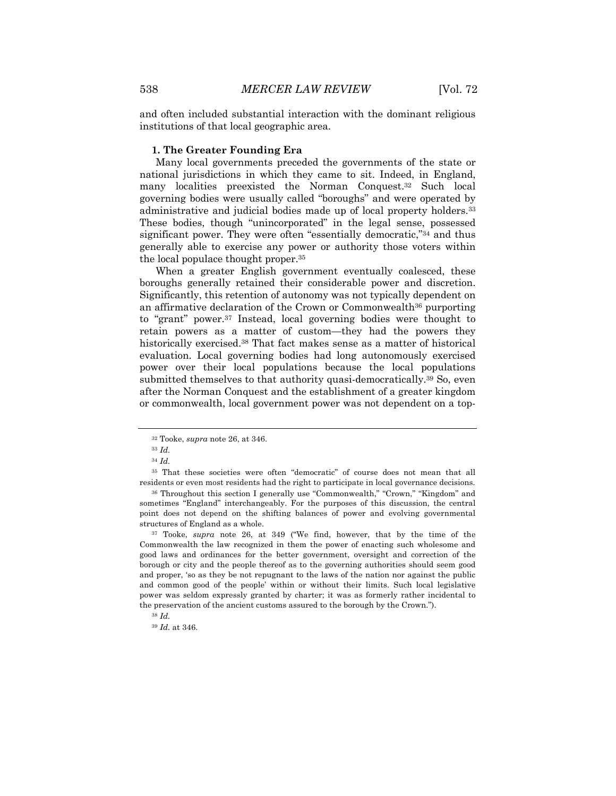and often included substantial interaction with the dominant religious institutions of that local geographic area.

## **1. The Greater Founding Era**

Many local governments preceded the governments of the state or national jurisdictions in which they came to sit. Indeed, in England, many localities preexisted the Norman Conquest.32 Such local governing bodies were usually called "boroughs" and were operated by administrative and judicial bodies made up of local property holders.33 These bodies, though "unincorporated" in the legal sense, possessed significant power. They were often "essentially democratic,"34 and thus generally able to exercise any power or authority those voters within the local populace thought proper.35

When a greater English government eventually coalesced, these boroughs generally retained their considerable power and discretion. Significantly, this retention of autonomy was not typically dependent on an affirmative declaration of the Crown or Commonwealth36 purporting to "grant" power.37 Instead, local governing bodies were thought to retain powers as a matter of custom—they had the powers they historically exercised.38 That fact makes sense as a matter of historical evaluation. Local governing bodies had long autonomously exercised power over their local populations because the local populations submitted themselves to that authority quasi-democratically.39 So, even after the Norman Conquest and the establishment of a greater kingdom or commonwealth, local government power was not dependent on a top-

<sup>35</sup> That these societies were often "democratic" of course does not mean that all residents or even most residents had the right to participate in local governance decisions.

<sup>36</sup> Throughout this section I generally use "Commonwealth," "Crown," "Kingdom" and sometimes "England" interchangeably. For the purposes of this discussion, the central point does not depend on the shifting balances of power and evolving governmental structures of England as a whole.

<sup>37</sup> Tooke, *supra* note 26, at 349 ("We find, however, that by the time of the Commonwealth the law recognized in them the power of enacting such wholesome and good laws and ordinances for the better government, oversight and correction of the borough or city and the people thereof as to the governing authorities should seem good and proper, 'so as they be not repugnant to the laws of the nation nor against the public and common good of the people' within or without their limits. Such local legislative power was seldom expressly granted by charter; it was as formerly rather incidental to the preservation of the ancient customs assured to the borough by the Crown.").

<sup>32</sup> Tooke, *supra* note 26, at 346.

<sup>33</sup> *Id.*

<sup>34</sup> *Id.*

<sup>38</sup> *Id.*

<sup>39</sup> *Id.* at 346.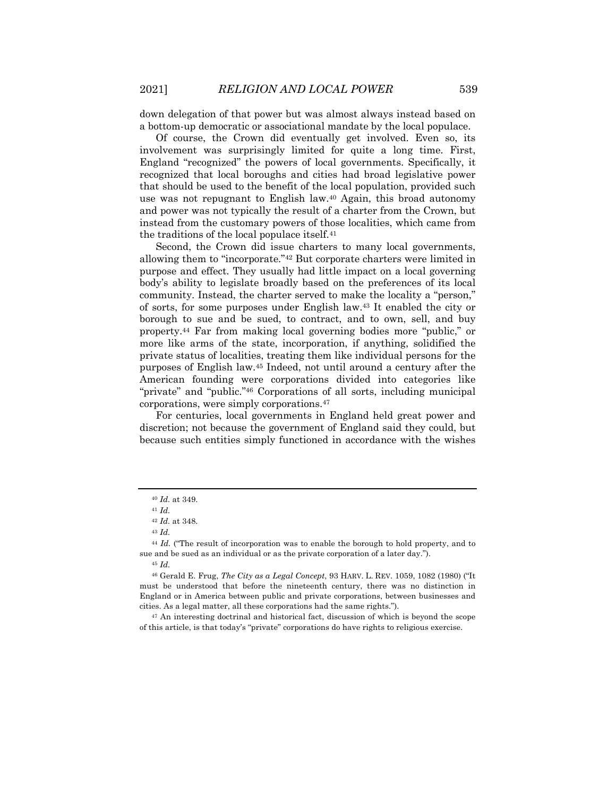down delegation of that power but was almost always instead based on a bottom-up democratic or associational mandate by the local populace.

Of course, the Crown did eventually get involved. Even so, its involvement was surprisingly limited for quite a long time. First, England "recognized" the powers of local governments. Specifically, it recognized that local boroughs and cities had broad legislative power that should be used to the benefit of the local population, provided such use was not repugnant to English law.40 Again, this broad autonomy and power was not typically the result of a charter from the Crown, but instead from the customary powers of those localities, which came from the traditions of the local populace itself.41

Second, the Crown did issue charters to many local governments, allowing them to "incorporate."42 But corporate charters were limited in purpose and effect. They usually had little impact on a local governing body's ability to legislate broadly based on the preferences of its local community. Instead, the charter served to make the locality a "person," of sorts, for some purposes under English law.43 It enabled the city or borough to sue and be sued, to contract, and to own, sell, and buy property.44 Far from making local governing bodies more "public," or more like arms of the state, incorporation, if anything, solidified the private status of localities, treating them like individual persons for the purposes of English law.45 Indeed, not until around a century after the American founding were corporations divided into categories like "private" and "public."46 Corporations of all sorts, including municipal corporations, were simply corporations.47

For centuries, local governments in England held great power and discretion; not because the government of England said they could, but because such entities simply functioned in accordance with the wishes

<sup>40</sup> *Id.* at 349.

<sup>41</sup> *Id.*

<sup>42</sup> *Id.* at 348.

<sup>43</sup> *Id.*

<sup>44</sup> *Id.* ("The result of incorporation was to enable the borough to hold property, and to sue and be sued as an individual or as the private corporation of a later day.").

<sup>45</sup> *Id.*

<sup>46</sup> Gerald E. Frug, *The City as a Legal Concept*, 93 HARV. L. REV. 1059, 1082 (1980) ("It must be understood that before the nineteenth century, there was no distinction in England or in America between public and private corporations, between businesses and cities. As a legal matter, all these corporations had the same rights.").

<sup>47</sup> An interesting doctrinal and historical fact, discussion of which is beyond the scope of this article, is that today's "private" corporations do have rights to religious exercise.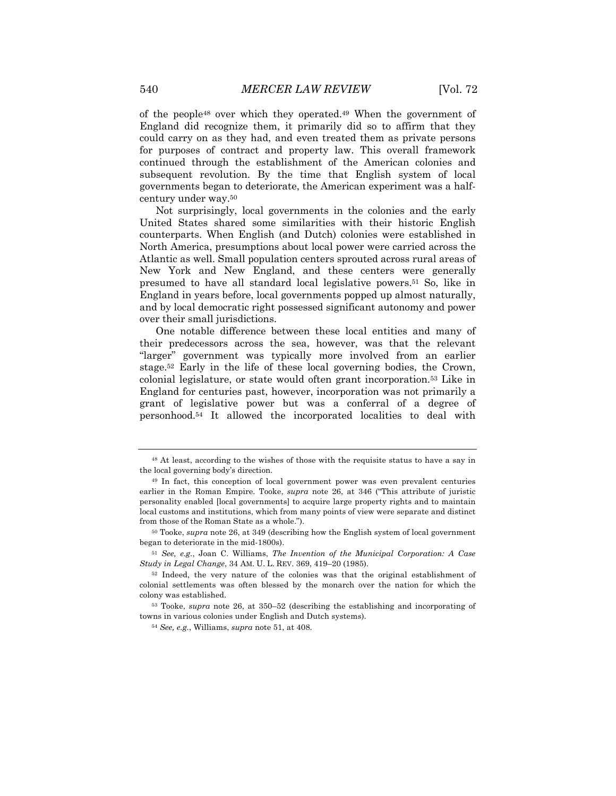of the people48 over which they operated.49 When the government of England did recognize them, it primarily did so to affirm that they could carry on as they had, and even treated them as private persons for purposes of contract and property law. This overall framework continued through the establishment of the American colonies and subsequent revolution. By the time that English system of local governments began to deteriorate, the American experiment was a halfcentury under way.50

Not surprisingly, local governments in the colonies and the early United States shared some similarities with their historic English counterparts. When English (and Dutch) colonies were established in North America, presumptions about local power were carried across the Atlantic as well. Small population centers sprouted across rural areas of New York and New England, and these centers were generally presumed to have all standard local legislative powers.51 So, like in England in years before, local governments popped up almost naturally, and by local democratic right possessed significant autonomy and power over their small jurisdictions.

One notable difference between these local entities and many of their predecessors across the sea, however, was that the relevant "larger" government was typically more involved from an earlier stage.52 Early in the life of these local governing bodies, the Crown, colonial legislature, or state would often grant incorporation.53 Like in England for centuries past, however, incorporation was not primarily a grant of legislative power but was a conferral of a degree of personhood.54 It allowed the incorporated localities to deal with

<sup>54</sup> *See, e.g.*, Williams, *supra* note 51, at 408.

<sup>48</sup> At least, according to the wishes of those with the requisite status to have a say in the local governing body's direction.

<sup>49</sup> In fact, this conception of local government power was even prevalent centuries earlier in the Roman Empire. Tooke, *supra* note 26, at 346 ("This attribute of juristic personality enabled [local governments] to acquire large property rights and to maintain local customs and institutions, which from many points of view were separate and distinct from those of the Roman State as a whole.").

<sup>50</sup> Tooke, *supra* note 26, at 349 (describing how the English system of local government began to deteriorate in the mid-1800s).

<sup>51</sup> *See, e.g.*, Joan C. Williams, *The Invention of the Municipal Corporation: A Case Study in Legal Change*, 34 AM. U. L. REV. 369, 419–20 (1985).

<sup>52</sup> Indeed, the very nature of the colonies was that the original establishment of colonial settlements was often blessed by the monarch over the nation for which the colony was established.

<sup>53</sup> Tooke, *supra* note 26, at 350–52 (describing the establishing and incorporating of towns in various colonies under English and Dutch systems).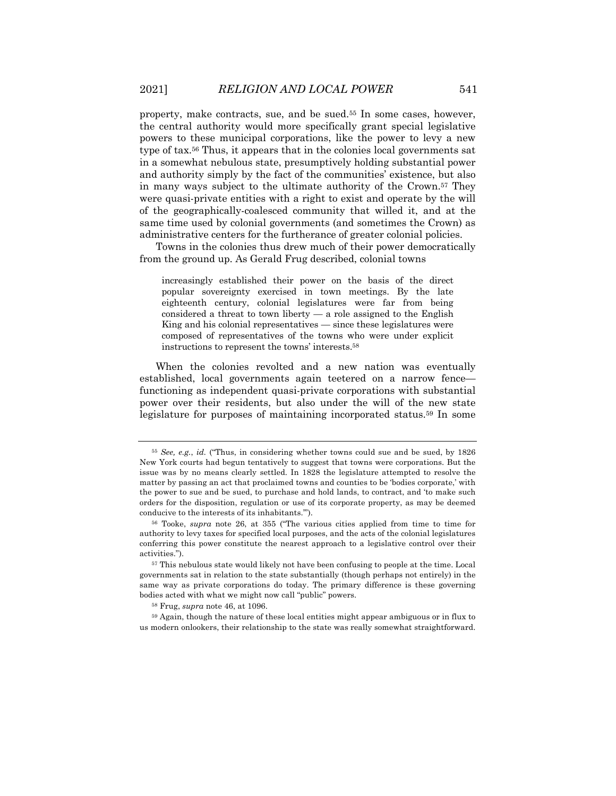property, make contracts, sue, and be sued.55 In some cases, however, the central authority would more specifically grant special legislative powers to these municipal corporations, like the power to levy a new type of tax.56 Thus, it appears that in the colonies local governments sat in a somewhat nebulous state, presumptively holding substantial power and authority simply by the fact of the communities' existence, but also in many ways subject to the ultimate authority of the Crown.57 They were quasi-private entities with a right to exist and operate by the will of the geographically-coalesced community that willed it, and at the same time used by colonial governments (and sometimes the Crown) as administrative centers for the furtherance of greater colonial policies.

Towns in the colonies thus drew much of their power democratically from the ground up. As Gerald Frug described, colonial towns

increasingly established their power on the basis of the direct popular sovereignty exercised in town meetings. By the late eighteenth century, colonial legislatures were far from being considered a threat to town liberty — a role assigned to the English King and his colonial representatives — since these legislatures were composed of representatives of the towns who were under explicit instructions to represent the towns' interests.58

When the colonies revolted and a new nation was eventually established, local governments again teetered on a narrow fence functioning as independent quasi-private corporations with substantial power over their residents, but also under the will of the new state legislature for purposes of maintaining incorporated status.59 In some

<sup>55</sup> *See, e.g.*, *id.* ("Thus, in considering whether towns could sue and be sued, by 1826 New York courts had begun tentatively to suggest that towns were corporations. But the issue was by no means clearly settled. In 1828 the legislature attempted to resolve the matter by passing an act that proclaimed towns and counties to be 'bodies corporate,' with the power to sue and be sued, to purchase and hold lands, to contract, and 'to make such orders for the disposition, regulation or use of its corporate property, as may be deemed conducive to the interests of its inhabitants.'").

<sup>56</sup> Tooke, *supra* note 26, at 355 ("The various cities applied from time to time for authority to levy taxes for specified local purposes, and the acts of the colonial legislatures conferring this power constitute the nearest approach to a legislative control over their activities.").

<sup>57</sup> This nebulous state would likely not have been confusing to people at the time. Local governments sat in relation to the state substantially (though perhaps not entirely) in the same way as private corporations do today. The primary difference is these governing bodies acted with what we might now call "public" powers.

<sup>58</sup> Frug, *supra* note 46, at 1096.

<sup>59</sup> Again, though the nature of these local entities might appear ambiguous or in flux to us modern onlookers, their relationship to the state was really somewhat straightforward.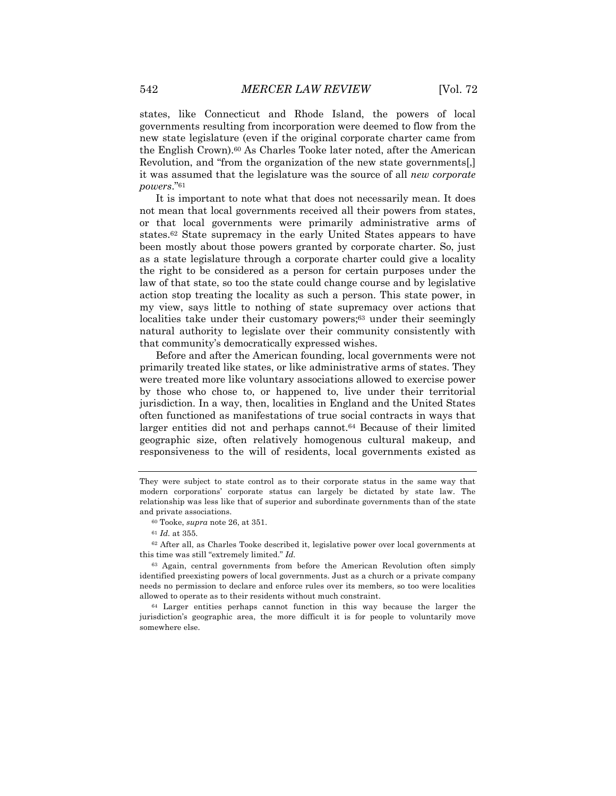states, like Connecticut and Rhode Island, the powers of local governments resulting from incorporation were deemed to flow from the new state legislature (even if the original corporate charter came from the English Crown).60 As Charles Tooke later noted, after the American Revolution, and "from the organization of the new state governments[,] it was assumed that the legislature was the source of all *new corporate powers*."61

It is important to note what that does not necessarily mean. It does not mean that local governments received all their powers from states, or that local governments were primarily administrative arms of states.62 State supremacy in the early United States appears to have been mostly about those powers granted by corporate charter. So, just as a state legislature through a corporate charter could give a locality the right to be considered as a person for certain purposes under the law of that state, so too the state could change course and by legislative action stop treating the locality as such a person. This state power, in my view, says little to nothing of state supremacy over actions that localities take under their customary powers;<sup>63</sup> under their seemingly natural authority to legislate over their community consistently with that community's democratically expressed wishes.

Before and after the American founding, local governments were not primarily treated like states, or like administrative arms of states. They were treated more like voluntary associations allowed to exercise power by those who chose to, or happened to, live under their territorial jurisdiction. In a way, then, localities in England and the United States often functioned as manifestations of true social contracts in ways that larger entities did not and perhaps cannot.64 Because of their limited geographic size, often relatively homogenous cultural makeup, and responsiveness to the will of residents, local governments existed as

 $62$  After all, as Charles Tooke described it, legislative power over local governments at this time was still "extremely limited." *Id.*

They were subject to state control as to their corporate status in the same way that modern corporations' corporate status can largely be dictated by state law. The relationship was less like that of superior and subordinate governments than of the state and private associations.

<sup>60</sup> Tooke, *supra* note 26, at 351.

<sup>61</sup> *Id.* at 355.

<sup>63</sup> Again, central governments from before the American Revolution often simply identified preexisting powers of local governments. Just as a church or a private company needs no permission to declare and enforce rules over its members, so too were localities allowed to operate as to their residents without much constraint.

<sup>64</sup> Larger entities perhaps cannot function in this way because the larger the jurisdiction's geographic area, the more difficult it is for people to voluntarily move somewhere else.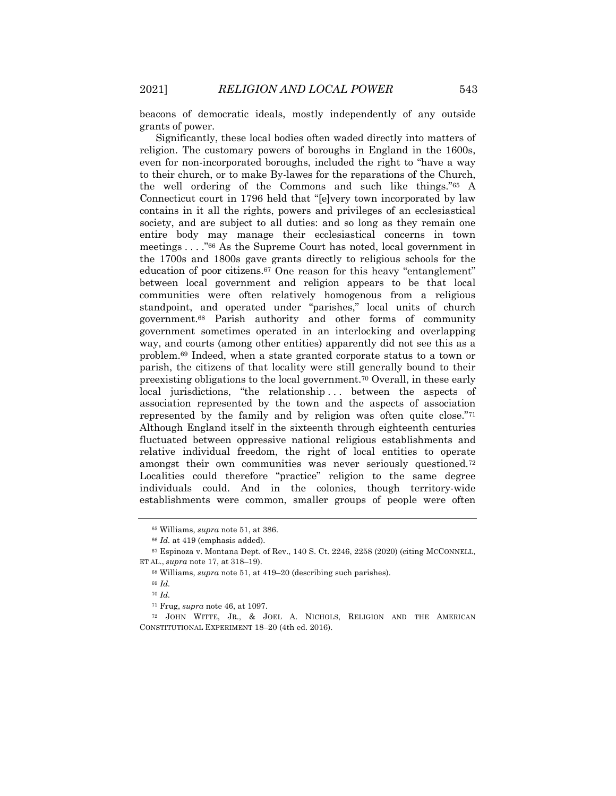beacons of democratic ideals, mostly independently of any outside grants of power.

Significantly, these local bodies often waded directly into matters of religion. The customary powers of boroughs in England in the 1600s, even for non-incorporated boroughs, included the right to "have a way to their church, or to make By-lawes for the reparations of the Church, the well ordering of the Commons and such like things."65 A Connecticut court in 1796 held that "[e]very town incorporated by law contains in it all the rights, powers and privileges of an ecclesiastical society, and are subject to all duties: and so long as they remain one entire body may manage their ecclesiastical concerns in town meetings . . . ."66 As the Supreme Court has noted, local government in the 1700s and 1800s gave grants directly to religious schools for the education of poor citizens.67 One reason for this heavy "entanglement" between local government and religion appears to be that local communities were often relatively homogenous from a religious standpoint, and operated under "parishes," local units of church government.68 Parish authority and other forms of community government sometimes operated in an interlocking and overlapping way, and courts (among other entities) apparently did not see this as a problem.69 Indeed, when a state granted corporate status to a town or parish, the citizens of that locality were still generally bound to their preexisting obligations to the local government.70 Overall, in these early local jurisdictions, "the relationship... between the aspects of association represented by the town and the aspects of association represented by the family and by religion was often quite close."71 Although England itself in the sixteenth through eighteenth centuries fluctuated between oppressive national religious establishments and relative individual freedom, the right of local entities to operate amongst their own communities was never seriously questioned.72 Localities could therefore "practice" religion to the same degree individuals could. And in the colonies, though territory-wide establishments were common, smaller groups of people were often

<sup>65</sup> Williams, *supra* note 51, at 386.

<sup>66</sup> *Id.* at 419 (emphasis added).

<sup>67</sup> Espinoza v. Montana Dept. of Rev., 140 S. Ct. 2246, 2258 (2020) (citing MCCONNELL, ET AL., *supra* note 17, at 318–19).

<sup>68</sup> Williams, *supra* note 51, at 419–20 (describing such parishes).

<sup>69</sup> *Id.*

<sup>70</sup> *Id.*

<sup>71</sup> Frug, *supra* note 46, at 1097.

<sup>72</sup> JOHN WITTE, JR., & JOEL A. NICHOLS, RELIGION AND THE AMERICAN CONSTITUTIONAL EXPERIMENT 18–20 (4th ed. 2016).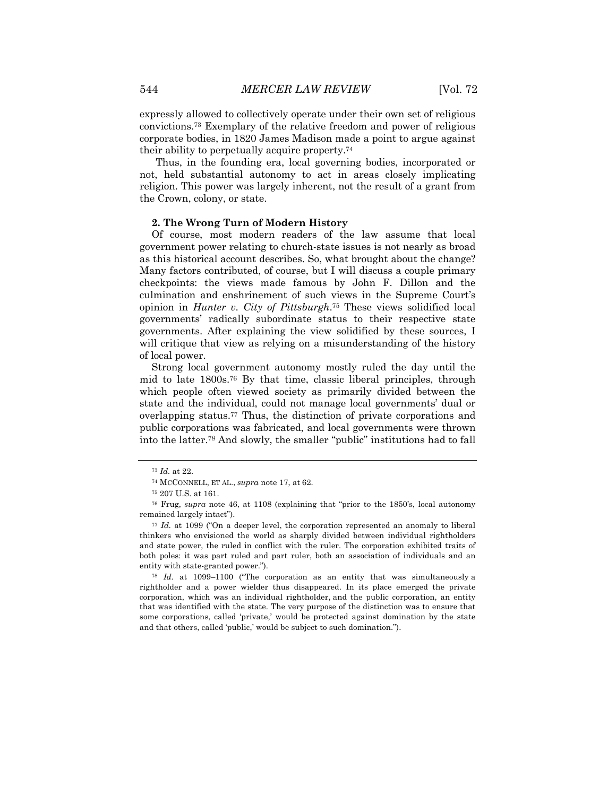expressly allowed to collectively operate under their own set of religious convictions.73 Exemplary of the relative freedom and power of religious corporate bodies, in 1820 James Madison made a point to argue against their ability to perpetually acquire property.74

Thus, in the founding era, local governing bodies, incorporated or not, held substantial autonomy to act in areas closely implicating religion. This power was largely inherent, not the result of a grant from the Crown, colony, or state.

# **2. The Wrong Turn of Modern History**

Of course, most modern readers of the law assume that local government power relating to church-state issues is not nearly as broad as this historical account describes. So, what brought about the change? Many factors contributed, of course, but I will discuss a couple primary checkpoints: the views made famous by John F. Dillon and the culmination and enshrinement of such views in the Supreme Court's opinion in *Hunter v. City of Pittsburgh*.75 These views solidified local governments' radically subordinate status to their respective state governments. After explaining the view solidified by these sources, I will critique that view as relying on a misunderstanding of the history of local power.

Strong local government autonomy mostly ruled the day until the mid to late 1800s.76 By that time, classic liberal principles, through which people often viewed society as primarily divided between the state and the individual, could not manage local governments' dual or overlapping status.77 Thus, the distinction of private corporations and public corporations was fabricated, and local governments were thrown into the latter.78 And slowly, the smaller "public" institutions had to fall

<sup>77</sup> *Id.* at 1099 ("On a deeper level, the corporation represented an anomaly to liberal thinkers who envisioned the world as sharply divided between individual rightholders and state power, the ruled in conflict with the ruler. The corporation exhibited traits of both poles: it was part ruled and part ruler, both an association of individuals and an entity with state-granted power.").

<sup>78</sup> *Id.* at 1099–1100 ("The corporation as an entity that was simultaneously a rightholder and a power wielder thus disappeared. In its place emerged the private corporation, which was an individual rightholder, and the public corporation, an entity that was identified with the state. The very purpose of the distinction was to ensure that some corporations, called 'private,' would be protected against domination by the state and that others, called 'public,' would be subject to such domination.").

<sup>73</sup> *Id.* at 22.

<sup>74</sup> MCCONNELL, ET AL., *supra* note 17, at 62.

<sup>75</sup> 207 U.S. at 161.

<sup>76</sup> Frug, *supra* note 46, at 1108 (explaining that "prior to the 1850's, local autonomy remained largely intact").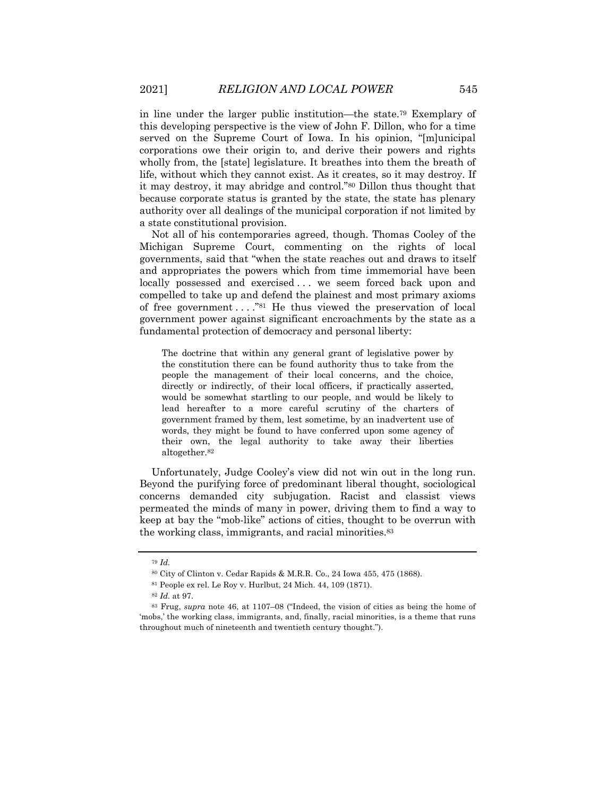in line under the larger public institution—the state.79 Exemplary of this developing perspective is the view of John F. Dillon, who for a time served on the Supreme Court of Iowa. In his opinion, "[m]unicipal corporations owe their origin to, and derive their powers and rights wholly from, the [state] legislature. It breathes into them the breath of life, without which they cannot exist. As it creates, so it may destroy. If it may destroy, it may abridge and control."80 Dillon thus thought that because corporate status is granted by the state, the state has plenary authority over all dealings of the municipal corporation if not limited by a state constitutional provision.

Not all of his contemporaries agreed, though. Thomas Cooley of the Michigan Supreme Court, commenting on the rights of local governments, said that "when the state reaches out and draws to itself and appropriates the powers which from time immemorial have been locally possessed and exercised . . . we seem forced back upon and compelled to take up and defend the plainest and most primary axioms of free government  $\dots$ ."<sup>81</sup> He thus viewed the preservation of local government power against significant encroachments by the state as a fundamental protection of democracy and personal liberty:

The doctrine that within any general grant of legislative power by the constitution there can be found authority thus to take from the people the management of their local concerns, and the choice, directly or indirectly, of their local officers, if practically asserted, would be somewhat startling to our people, and would be likely to lead hereafter to a more careful scrutiny of the charters of government framed by them, lest sometime, by an inadvertent use of words, they might be found to have conferred upon some agency of their own, the legal authority to take away their liberties altogether.82

Unfortunately, Judge Cooley's view did not win out in the long run. Beyond the purifying force of predominant liberal thought, sociological concerns demanded city subjugation. Racist and classist views permeated the minds of many in power, driving them to find a way to keep at bay the "mob-like" actions of cities, thought to be overrun with the working class, immigrants, and racial minorities.83

<sup>79</sup> *Id.*

<sup>80</sup> City of Clinton v. Cedar Rapids & M.R.R. Co., 24 Iowa 455, 475 (1868).

<sup>81</sup> People ex rel. Le Roy v. Hurlbut, 24 Mich. 44, 109 (1871).

<sup>82</sup> *Id.* at 97.

<sup>83</sup> Frug, *supra* note 46, at 1107–08 ("Indeed, the vision of cities as being the home of 'mobs,' the working class, immigrants, and, finally, racial minorities, is a theme that runs throughout much of nineteenth and twentieth century thought.").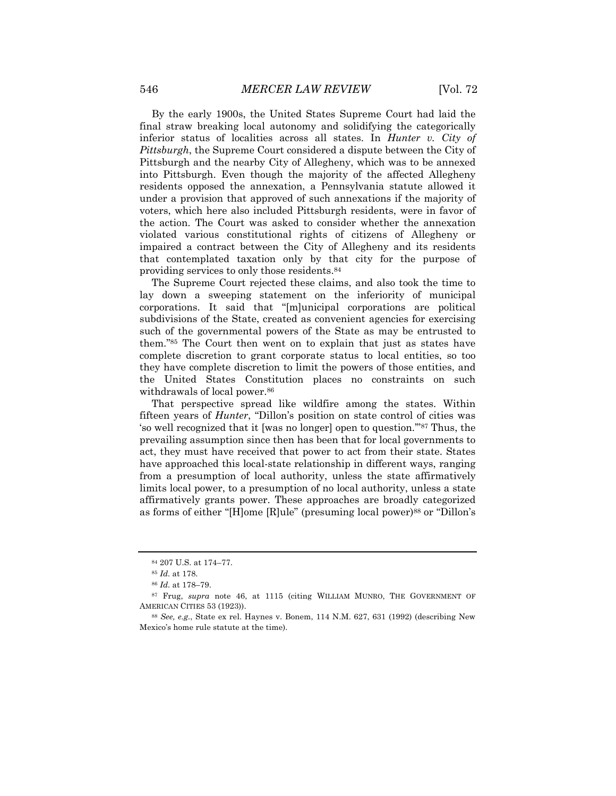By the early 1900s, the United States Supreme Court had laid the final straw breaking local autonomy and solidifying the categorically inferior status of localities across all states. In *Hunter v. City of Pittsburgh*, the Supreme Court considered a dispute between the City of Pittsburgh and the nearby City of Allegheny, which was to be annexed into Pittsburgh. Even though the majority of the affected Allegheny residents opposed the annexation, a Pennsylvania statute allowed it under a provision that approved of such annexations if the majority of voters, which here also included Pittsburgh residents, were in favor of the action. The Court was asked to consider whether the annexation violated various constitutional rights of citizens of Allegheny or impaired a contract between the City of Allegheny and its residents that contemplated taxation only by that city for the purpose of providing services to only those residents.84

The Supreme Court rejected these claims, and also took the time to lay down a sweeping statement on the inferiority of municipal corporations. It said that "[m]unicipal corporations are political subdivisions of the State, created as convenient agencies for exercising such of the governmental powers of the State as may be entrusted to them."85 The Court then went on to explain that just as states have complete discretion to grant corporate status to local entities, so too they have complete discretion to limit the powers of those entities, and the United States Constitution places no constraints on such withdrawals of local power.<sup>86</sup>

That perspective spread like wildfire among the states. Within fifteen years of *Hunter*, "Dillon's position on state control of cities was 'so well recognized that it [was no longer] open to question.'"87 Thus, the prevailing assumption since then has been that for local governments to act, they must have received that power to act from their state. States have approached this local-state relationship in different ways, ranging from a presumption of local authority, unless the state affirmatively limits local power, to a presumption of no local authority, unless a state affirmatively grants power. These approaches are broadly categorized as forms of either "[H]ome [R]ule" (presuming local power)88 or "Dillon's

<sup>84</sup> 207 U.S. at 174–77.

<sup>85</sup> *Id.* at 178.

<sup>86</sup> *Id.* at 178–79.

<sup>87</sup> Frug, *supra* note 46, at 1115 (citing WILLIAM MUNRO, THE GOVERNMENT OF AMERICAN CITIES 53 (1923)).

<sup>88</sup> *See, e.g.*, State ex rel. Haynes v. Bonem, 114 N.M. 627, 631 (1992) (describing New Mexico's home rule statute at the time).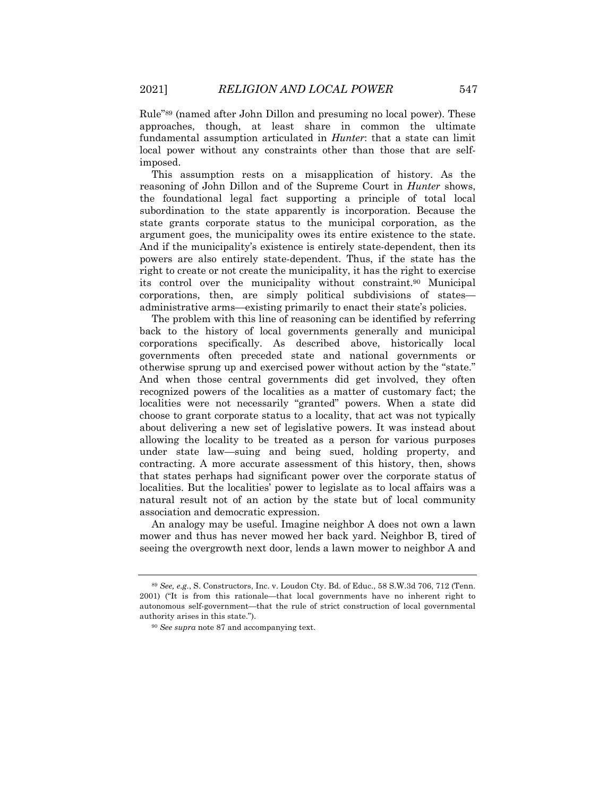Rule"89 (named after John Dillon and presuming no local power). These approaches, though, at least share in common the ultimate fundamental assumption articulated in *Hunter*: that a state can limit local power without any constraints other than those that are selfimposed.

This assumption rests on a misapplication of history. As the reasoning of John Dillon and of the Supreme Court in *Hunter* shows, the foundational legal fact supporting a principle of total local subordination to the state apparently is incorporation. Because the state grants corporate status to the municipal corporation, as the argument goes, the municipality owes its entire existence to the state. And if the municipality's existence is entirely state-dependent, then its powers are also entirely state-dependent. Thus, if the state has the right to create or not create the municipality, it has the right to exercise its control over the municipality without constraint.90 Municipal corporations, then, are simply political subdivisions of states administrative arms—existing primarily to enact their state's policies.

The problem with this line of reasoning can be identified by referring back to the history of local governments generally and municipal corporations specifically. As described above, historically local governments often preceded state and national governments or otherwise sprung up and exercised power without action by the "state." And when those central governments did get involved, they often recognized powers of the localities as a matter of customary fact; the localities were not necessarily "granted" powers. When a state did choose to grant corporate status to a locality, that act was not typically about delivering a new set of legislative powers. It was instead about allowing the locality to be treated as a person for various purposes under state law—suing and being sued, holding property, and contracting. A more accurate assessment of this history, then, shows that states perhaps had significant power over the corporate status of localities. But the localities' power to legislate as to local affairs was a natural result not of an action by the state but of local community association and democratic expression.

An analogy may be useful. Imagine neighbor A does not own a lawn mower and thus has never mowed her back yard. Neighbor B, tired of seeing the overgrowth next door, lends a lawn mower to neighbor A and

<sup>89</sup> *See, e.g.*, S. Constructors, Inc. v. Loudon Cty. Bd. of Educ., 58 S.W.3d 706, 712 (Tenn. 2001) ("It is from this rationale—that local governments have no inherent right to autonomous self-government—that the rule of strict construction of local governmental authority arises in this state.").

<sup>90</sup> *See supra* note 87 and accompanying text.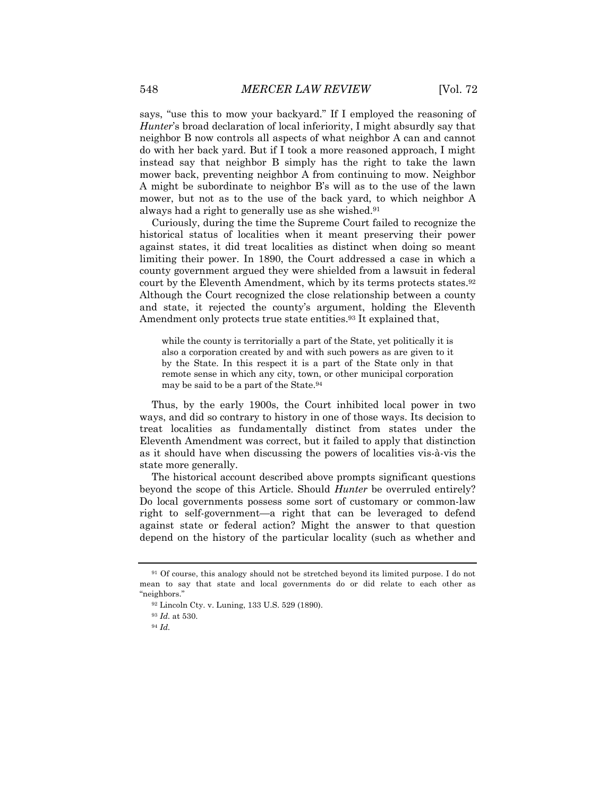says, "use this to mow your backyard." If I employed the reasoning of *Hunter*'s broad declaration of local inferiority, I might absurdly say that neighbor B now controls all aspects of what neighbor A can and cannot do with her back yard. But if I took a more reasoned approach, I might instead say that neighbor B simply has the right to take the lawn mower back, preventing neighbor A from continuing to mow. Neighbor A might be subordinate to neighbor B's will as to the use of the lawn mower, but not as to the use of the back yard, to which neighbor A always had a right to generally use as she wished.91

Curiously, during the time the Supreme Court failed to recognize the historical status of localities when it meant preserving their power against states, it did treat localities as distinct when doing so meant limiting their power. In 1890, the Court addressed a case in which a county government argued they were shielded from a lawsuit in federal court by the Eleventh Amendment, which by its terms protects states.92 Although the Court recognized the close relationship between a county and state, it rejected the county's argument, holding the Eleventh Amendment only protects true state entities.<sup>93</sup> It explained that,

while the county is territorially a part of the State, yet politically it is also a corporation created by and with such powers as are given to it by the State. In this respect it is a part of the State only in that remote sense in which any city, town, or other municipal corporation may be said to be a part of the State.94

Thus, by the early 1900s, the Court inhibited local power in two ways, and did so contrary to history in one of those ways. Its decision to treat localities as fundamentally distinct from states under the Eleventh Amendment was correct, but it failed to apply that distinction as it should have when discussing the powers of localities vis-à-vis the state more generally.

The historical account described above prompts significant questions beyond the scope of this Article. Should *Hunter* be overruled entirely? Do local governments possess some sort of customary or common-law right to self-government—a right that can be leveraged to defend against state or federal action? Might the answer to that question depend on the history of the particular locality (such as whether and

<sup>91</sup> Of course, this analogy should not be stretched beyond its limited purpose. I do not mean to say that state and local governments do or did relate to each other as "neighbors."

<sup>92</sup> Lincoln Cty. v. Luning, 133 U.S. 529 (1890).

<sup>93</sup> *Id.* at 530.

<sup>94</sup> *Id.*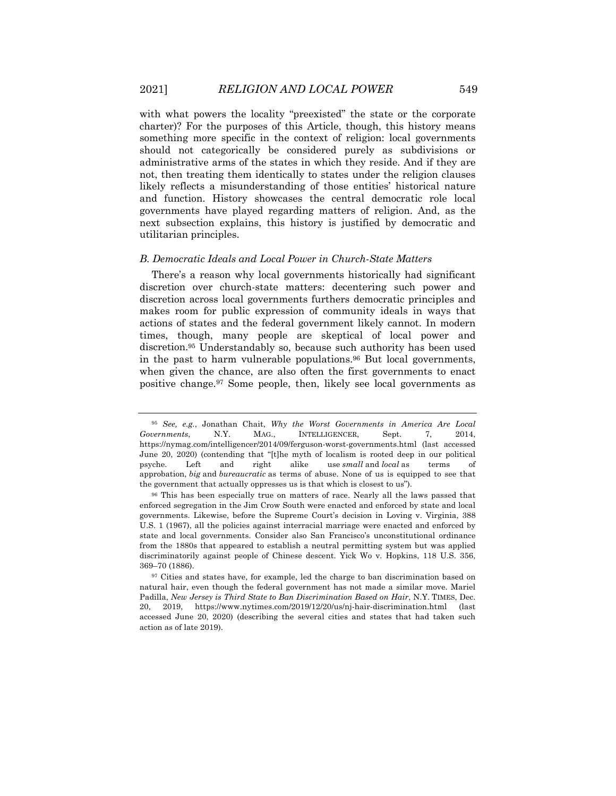with what powers the locality "preexisted" the state or the corporate charter)? For the purposes of this Article, though, this history means something more specific in the context of religion: local governments should not categorically be considered purely as subdivisions or administrative arms of the states in which they reside. And if they are not, then treating them identically to states under the religion clauses likely reflects a misunderstanding of those entities' historical nature and function. History showcases the central democratic role local governments have played regarding matters of religion. And, as the next subsection explains, this history is justified by democratic and utilitarian principles.

#### *B. Democratic Ideals and Local Power in Church-State Matters*

There's a reason why local governments historically had significant discretion over church-state matters: decentering such power and discretion across local governments furthers democratic principles and makes room for public expression of community ideals in ways that actions of states and the federal government likely cannot. In modern times, though, many people are skeptical of local power and discretion.95 Understandably so, because such authority has been used in the past to harm vulnerable populations.<sup>96</sup> But local governments, when given the chance, are also often the first governments to enact positive change.97 Some people, then, likely see local governments as

<sup>95</sup> *See, e.g.*, Jonathan Chait, *Why the Worst Governments in America Are Local Governments*, N.Y. MAG., INTELLIGENCER, Sept. 7, 2014, https://nymag.com/intelligencer/2014/09/ferguson-worst-governments.html (last accessed June 20, 2020) (contending that "[t]he myth of localism is rooted deep in our political psyche. Left and right alike use *small* and *local* as terms of approbation, *big* and *bureaucratic* as terms of abuse. None of us is equipped to see that the government that actually oppresses us is that which is closest to us").

<sup>96</sup> This has been especially true on matters of race. Nearly all the laws passed that enforced segregation in the Jim Crow South were enacted and enforced by state and local governments. Likewise, before the Supreme Court's decision in Loving v. Virginia, 388 U.S. 1 (1967), all the policies against interracial marriage were enacted and enforced by state and local governments. Consider also San Francisco's unconstitutional ordinance from the 1880s that appeared to establish a neutral permitting system but was applied discriminatorily against people of Chinese descent. Yick Wo v. Hopkins, 118 U.S. 356, 369–70 (1886).

<sup>&</sup>lt;sup>97</sup> Cities and states have, for example, led the charge to ban discrimination based on natural hair, even though the federal government has not made a similar move. Mariel Padilla, *New Jersey is Third State to Ban Discrimination Based on Hair*, N.Y. TIMES, Dec. 20, 2019, https://www.nytimes.com/2019/12/20/us/nj-hair-discrimination.html (last accessed June 20, 2020) (describing the several cities and states that had taken such action as of late 2019).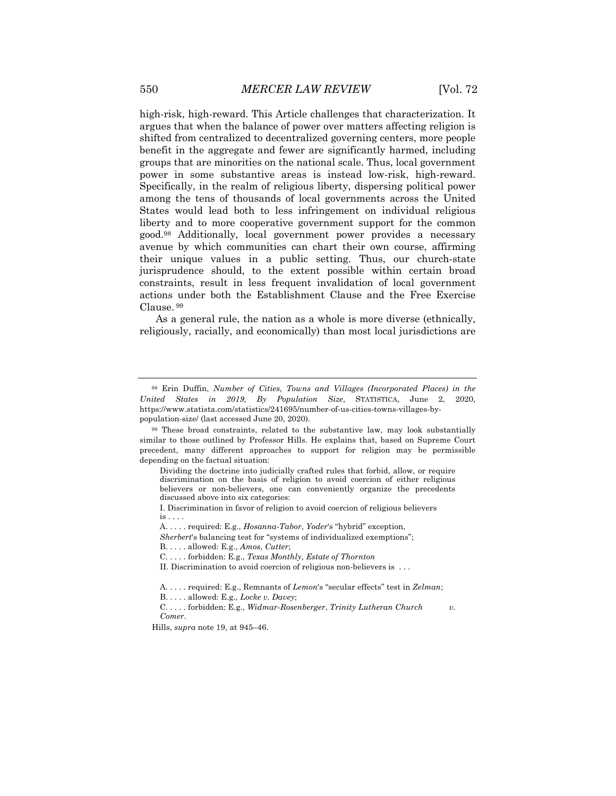high-risk, high-reward. This Article challenges that characterization. It argues that when the balance of power over matters affecting religion is shifted from centralized to decentralized governing centers, more people benefit in the aggregate and fewer are significantly harmed, including groups that are minorities on the national scale. Thus, local government power in some substantive areas is instead low-risk, high-reward. Specifically, in the realm of religious liberty, dispersing political power among the tens of thousands of local governments across the United States would lead both to less infringement on individual religious liberty and to more cooperative government support for the common good.98 Additionally, local government power provides a necessary avenue by which communities can chart their own course, affirming their unique values in a public setting. Thus, our church-state jurisprudence should, to the extent possible within certain broad constraints, result in less frequent invalidation of local government actions under both the Establishment Clause and the Free Exercise Clause. <sup>99</sup>

As a general rule, the nation as a whole is more diverse (ethnically, religiously, racially, and economically) than most local jurisdictions are

<sup>98</sup> Erin Duffin, *Number of Cities, Towns and Villages (Incorporated Places) in the United States in 2019, By Population Size*, STATISTICA, June 2, 2020, https://www.statista.com/statistics/241695/number-of-us-cities-towns-villages-bypopulation-size/ (last accessed June 20, 2020).

<sup>99</sup> These broad constraints, related to the substantive law, may look substantially similar to those outlined by Professor Hills. He explains that, based on Supreme Court precedent, many different approaches to support for religion may be permissible depending on the factual situation:

Dividing the doctrine into judicially crafted rules that forbid, allow, or require discrimination on the basis of religion to avoid coercion of either religious believers or non-believers, one can conveniently organize the precedents discussed above into six categories:

I. Discrimination in favor of religion to avoid coercion of religious believers is . . . .

A. . . . . required: E.g., *Hosanna-Tabor*, *Yoder*'s "hybrid" exception,

*Sherbert*'s balancing test for "systems of individualized exemptions"; B. . . . . allowed: E.g., *Amos*, *Cutter*;

C. . . . . forbidden: E.g., *Texas Monthly*, *Estate of Thornton*

II. Discrimination to avoid coercion of religious non-believers is . . .

A. . . . . required: E.g., Remnants of *Lemon*'s "secular effects" test in *Zelman*;

B. . . . . allowed: E.g., *Locke v. Davey*;

C. . . . . forbidden: E.g., *Widmar*-*Rosenberger*, *Trinity Lutheran Church v. Comer*.

Hills, *supra* note 19, at 945–46.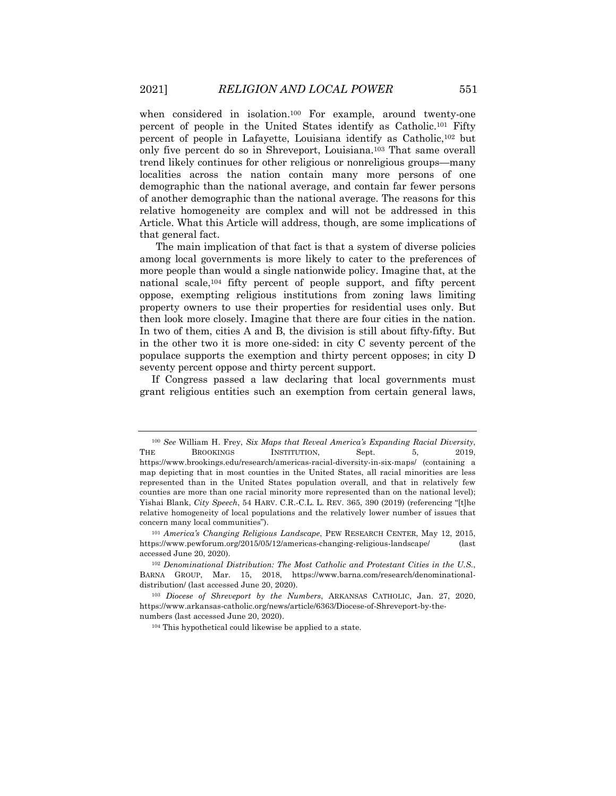when considered in isolation.<sup>100</sup> For example, around twenty-one percent of people in the United States identify as Catholic.101 Fifty percent of people in Lafayette, Louisiana identify as Catholic,102 but only five percent do so in Shreveport, Louisiana.103 That same overall trend likely continues for other religious or nonreligious groups—many localities across the nation contain many more persons of one demographic than the national average, and contain far fewer persons of another demographic than the national average. The reasons for this relative homogeneity are complex and will not be addressed in this Article. What this Article will address, though, are some implications of that general fact.

The main implication of that fact is that a system of diverse policies among local governments is more likely to cater to the preferences of more people than would a single nationwide policy. Imagine that, at the national scale,104 fifty percent of people support, and fifty percent oppose, exempting religious institutions from zoning laws limiting property owners to use their properties for residential uses only. But then look more closely. Imagine that there are four cities in the nation. In two of them, cities A and B, the division is still about fifty-fifty. But in the other two it is more one-sided: in city C seventy percent of the populace supports the exemption and thirty percent opposes; in city D seventy percent oppose and thirty percent support.

If Congress passed a law declaring that local governments must grant religious entities such an exemption from certain general laws,

<sup>100</sup> *See* William H. Frey, *Six Maps that Reveal America's Expanding Racial Diversity*, THE BROOKINGS INSTITUTION, Sept. 5, 2019, https://www.brookings.edu/research/americas-racial-diversity-in-six-maps/ (containing a map depicting that in most counties in the United States, all racial minorities are less represented than in the United States population overall, and that in relatively few counties are more than one racial minority more represented than on the national level); Yishai Blank, *City Speech*, 54 HARV. C.R.-C.L. L. REV. 365, 390 (2019) (referencing "[t]he relative homogeneity of local populations and the relatively lower number of issues that concern many local communities").

<sup>101</sup> *America's Changing Religious Landscape*, PEW RESEARCH CENTER, May 12, 2015, https://www.pewforum.org/2015/05/12/americas-changing-religious-landscape/ (last accessed June 20, 2020).

<sup>102</sup> *Denominational Distribution: The Most Catholic and Protestant Cities in the U.S.*, BARNA GROUP, Mar. 15, 2018, https://www.barna.com/research/denominationaldistribution/ (last accessed June 20, 2020).

<sup>103</sup> *Diocese of Shreveport by the Numbers*, ARKANSAS CATHOLIC, Jan. 27, 2020, https://www.arkansas-catholic.org/news/article/6363/Diocese-of-Shreveport-by-thenumbers (last accessed June 20, 2020).

<sup>104</sup> This hypothetical could likewise be applied to a state.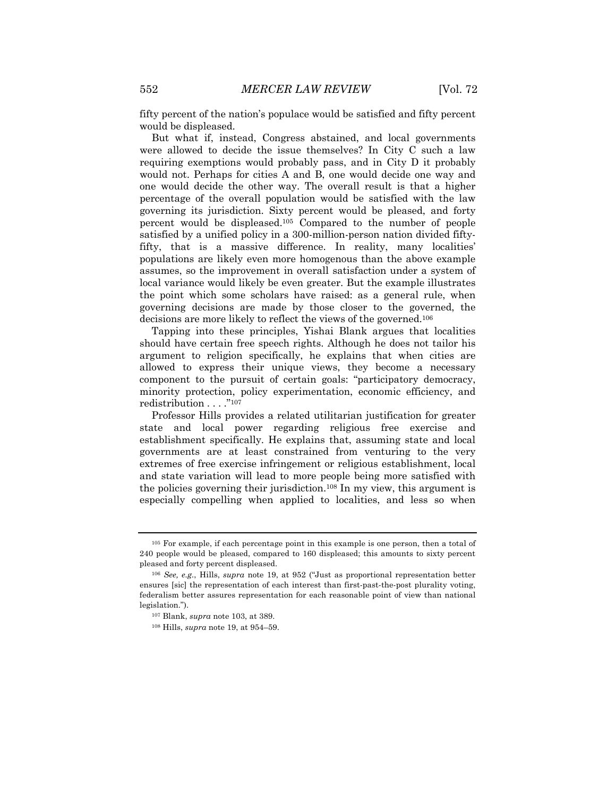fifty percent of the nation's populace would be satisfied and fifty percent would be displeased.

But what if, instead, Congress abstained, and local governments were allowed to decide the issue themselves? In City C such a law requiring exemptions would probably pass, and in City D it probably would not. Perhaps for cities A and B, one would decide one way and one would decide the other way. The overall result is that a higher percentage of the overall population would be satisfied with the law governing its jurisdiction. Sixty percent would be pleased, and forty percent would be displeased.105 Compared to the number of people satisfied by a unified policy in a 300-million-person nation divided fiftyfifty, that is a massive difference. In reality, many localities' populations are likely even more homogenous than the above example assumes, so the improvement in overall satisfaction under a system of local variance would likely be even greater. But the example illustrates the point which some scholars have raised: as a general rule, when governing decisions are made by those closer to the governed, the decisions are more likely to reflect the views of the governed.106

Tapping into these principles, Yishai Blank argues that localities should have certain free speech rights. Although he does not tailor his argument to religion specifically, he explains that when cities are allowed to express their unique views, they become a necessary component to the pursuit of certain goals: "participatory democracy, minority protection, policy experimentation, economic efficiency, and redistribution . . . ."107

Professor Hills provides a related utilitarian justification for greater state and local power regarding religious free exercise and establishment specifically. He explains that, assuming state and local governments are at least constrained from venturing to the very extremes of free exercise infringement or religious establishment, local and state variation will lead to more people being more satisfied with the policies governing their jurisdiction.108 In my view, this argument is especially compelling when applied to localities, and less so when

<sup>105</sup> For example, if each percentage point in this example is one person, then a total of 240 people would be pleased, compared to 160 displeased; this amounts to sixty percent pleased and forty percent displeased.

<sup>106</sup> *See, e.g.*, Hills, *supra* note 19, at 952 ("Just as proportional representation better ensures [sic] the representation of each interest than first-past-the-post plurality voting, federalism better assures representation for each reasonable point of view than national legislation.").

<sup>107</sup> Blank, *supra* note 103, at 389.

<sup>108</sup> Hills, *supra* note 19, at 954–59.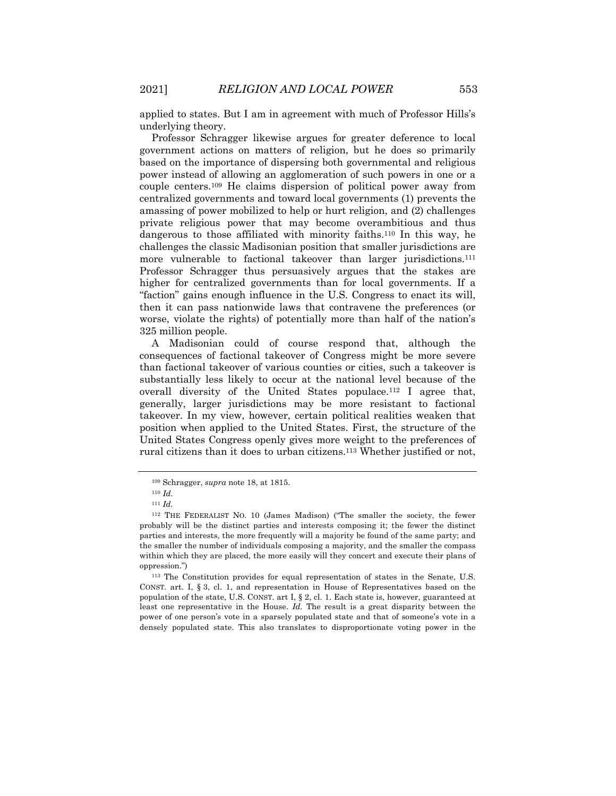applied to states. But I am in agreement with much of Professor Hills's underlying theory.

Professor Schragger likewise argues for greater deference to local government actions on matters of religion, but he does so primarily based on the importance of dispersing both governmental and religious power instead of allowing an agglomeration of such powers in one or a couple centers.109 He claims dispersion of political power away from centralized governments and toward local governments (1) prevents the amassing of power mobilized to help or hurt religion, and (2) challenges private religious power that may become overambitious and thus dangerous to those affiliated with minority faiths.110 In this way, he challenges the classic Madisonian position that smaller jurisdictions are more vulnerable to factional takeover than larger jurisdictions.<sup>111</sup> Professor Schragger thus persuasively argues that the stakes are higher for centralized governments than for local governments. If a "faction" gains enough influence in the U.S. Congress to enact its will, then it can pass nationwide laws that contravene the preferences (or worse, violate the rights) of potentially more than half of the nation's 325 million people.

A Madisonian could of course respond that, although the consequences of factional takeover of Congress might be more severe than factional takeover of various counties or cities, such a takeover is substantially less likely to occur at the national level because of the overall diversity of the United States populace.112 I agree that, generally, larger jurisdictions may be more resistant to factional takeover. In my view, however, certain political realities weaken that position when applied to the United States. First, the structure of the United States Congress openly gives more weight to the preferences of rural citizens than it does to urban citizens.113 Whether justified or not,

<sup>109</sup> Schragger, *supra* note 18, at 1815.

<sup>110</sup> *Id.*

<sup>111</sup> *Id.*

<sup>112</sup> THE FEDERALIST NO. 10 (James Madison) ("The smaller the society, the fewer probably will be the distinct parties and interests composing it; the fewer the distinct parties and interests, the more frequently will a majority be found of the same party; and the smaller the number of individuals composing a majority, and the smaller the compass within which they are placed, the more easily will they concert and execute their plans of oppression.")

<sup>113</sup> The Constitution provides for equal representation of states in the Senate, U.S. CONST. art. I, § 3, cl. 1, and representation in House of Representatives based on the population of the state, U.S. CONST. art I, § 2, cl. 1. Each state is, however, guaranteed at least one representative in the House. *Id.* The result is a great disparity between the power of one person's vote in a sparsely populated state and that of someone's vote in a densely populated state. This also translates to disproportionate voting power in the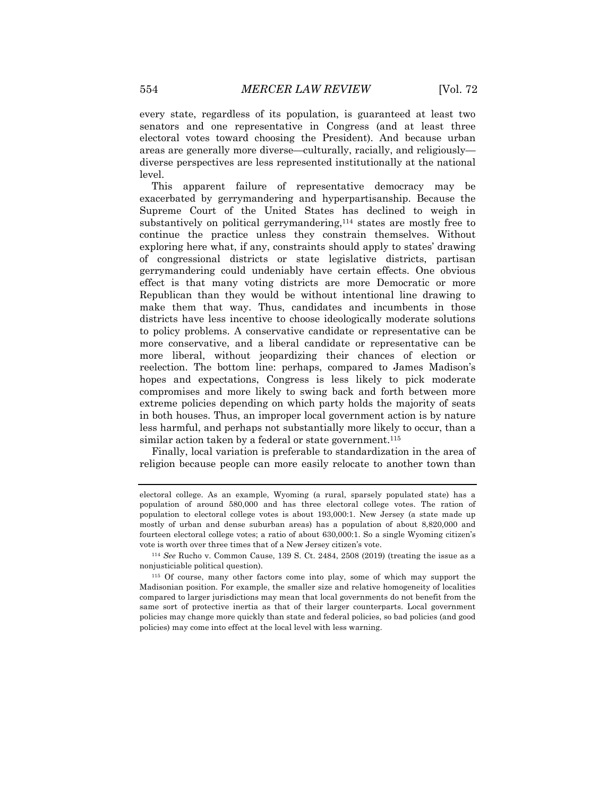every state, regardless of its population, is guaranteed at least two senators and one representative in Congress (and at least three electoral votes toward choosing the President). And because urban areas are generally more diverse—culturally, racially, and religiously diverse perspectives are less represented institutionally at the national level.

This apparent failure of representative democracy may be exacerbated by gerrymandering and hyperpartisanship. Because the Supreme Court of the United States has declined to weigh in substantively on political gerrymandering,114 states are mostly free to continue the practice unless they constrain themselves. Without exploring here what, if any, constraints should apply to states' drawing of congressional districts or state legislative districts, partisan gerrymandering could undeniably have certain effects. One obvious effect is that many voting districts are more Democratic or more Republican than they would be without intentional line drawing to make them that way. Thus, candidates and incumbents in those districts have less incentive to choose ideologically moderate solutions to policy problems. A conservative candidate or representative can be more conservative, and a liberal candidate or representative can be more liberal, without jeopardizing their chances of election or reelection. The bottom line: perhaps, compared to James Madison's hopes and expectations, Congress is less likely to pick moderate compromises and more likely to swing back and forth between more extreme policies depending on which party holds the majority of seats in both houses. Thus, an improper local government action is by nature less harmful, and perhaps not substantially more likely to occur, than a similar action taken by a federal or state government.<sup>115</sup>

Finally, local variation is preferable to standardization in the area of religion because people can more easily relocate to another town than

electoral college. As an example, Wyoming (a rural, sparsely populated state) has a population of around 580,000 and has three electoral college votes. The ration of population to electoral college votes is about 193,000:1. New Jersey (a state made up mostly of urban and dense suburban areas) has a population of about 8,820,000 and fourteen electoral college votes; a ratio of about 630,000:1. So a single Wyoming citizen's vote is worth over three times that of a New Jersey citizen's vote.

<sup>114</sup> *See* Rucho v. Common Cause, 139 S. Ct. 2484, 2508 (2019) (treating the issue as a nonjusticiable political question).

<sup>115</sup> Of course, many other factors come into play, some of which may support the Madisonian position. For example, the smaller size and relative homogeneity of localities compared to larger jurisdictions may mean that local governments do not benefit from the same sort of protective inertia as that of their larger counterparts. Local government policies may change more quickly than state and federal policies, so bad policies (and good policies) may come into effect at the local level with less warning.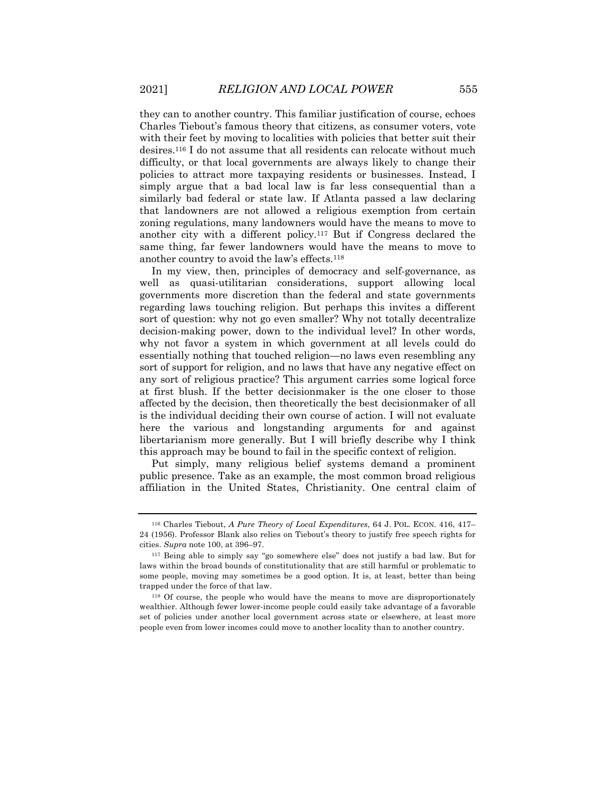they can to another country. This familiar justification of course, echoes Charles Tiebout's famous theory that citizens, as consumer voters, vote with their feet by moving to localities with policies that better suit their desires.116 I do not assume that all residents can relocate without much difficulty, or that local governments are always likely to change their policies to attract more taxpaying residents or businesses. Instead, I simply argue that a bad local law is far less consequential than a similarly bad federal or state law. If Atlanta passed a law declaring that landowners are not allowed a religious exemption from certain zoning regulations, many landowners would have the means to move to another city with a different policy.117 But if Congress declared the same thing, far fewer landowners would have the means to move to another country to avoid the law's effects.118

In my view, then, principles of democracy and self-governance, as well as quasi-utilitarian considerations, support allowing local governments more discretion than the federal and state governments regarding laws touching religion. But perhaps this invites a different sort of question: why not go even smaller? Why not totally decentralize decision-making power, down to the individual level? In other words, why not favor a system in which government at all levels could do essentially nothing that touched religion—no laws even resembling any sort of support for religion, and no laws that have any negative effect on any sort of religious practice? This argument carries some logical force at first blush. If the better decisionmaker is the one closer to those affected by the decision, then theoretically the best decisionmaker of all is the individual deciding their own course of action. I will not evaluate here the various and longstanding arguments for and against libertarianism more generally. But I will briefly describe why I think this approach may be bound to fail in the specific context of religion.

Put simply, many religious belief systems demand a prominent public presence. Take as an example, the most common broad religious affiliation in the United States, Christianity. One central claim of

<sup>116</sup> Charles Tiebout, *A Pure Theory of Local Expenditures*, 64 J. POL. ECON. 416, 417– 24 (1956). Professor Blank also relies on Tiebout's theory to justify free speech rights for cities. *Supra* note 100, at 396–97.

<sup>117</sup> Being able to simply say "go somewhere else" does not justify a bad law. But for laws within the broad bounds of constitutionality that are still harmful or problematic to some people, moving may sometimes be a good option. It is, at least, better than being trapped under the force of that law.

<sup>118</sup> Of course, the people who would have the means to move are disproportionately wealthier. Although fewer lower-income people could easily take advantage of a favorable set of policies under another local government across state or elsewhere, at least more people even from lower incomes could move to another locality than to another country.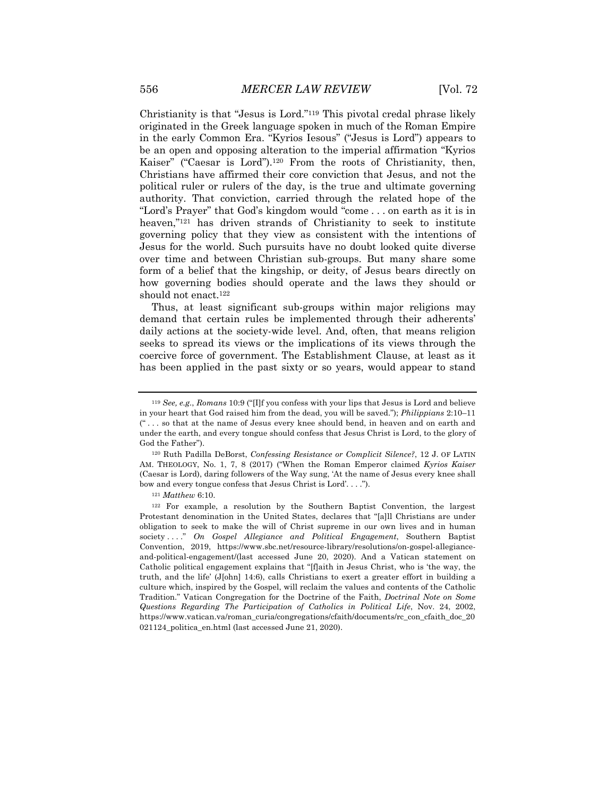Christianity is that "Jesus is Lord."119 This pivotal credal phrase likely originated in the Greek language spoken in much of the Roman Empire in the early Common Era. "Kyrios Iesous" ("Jesus is Lord") appears to be an open and opposing alteration to the imperial affirmation "Kyrios Kaiser" ("Caesar is Lord").120 From the roots of Christianity, then, Christians have affirmed their core conviction that Jesus, and not the political ruler or rulers of the day, is the true and ultimate governing authority. That conviction, carried through the related hope of the "Lord's Prayer" that God's kingdom would "come . . . on earth as it is in heaven,"<sup>121</sup> has driven strands of Christianity to seek to institute governing policy that they view as consistent with the intentions of Jesus for the world. Such pursuits have no doubt looked quite diverse over time and between Christian sub-groups. But many share some form of a belief that the kingship, or deity, of Jesus bears directly on how governing bodies should operate and the laws they should or should not enact.122

Thus, at least significant sub-groups within major religions may demand that certain rules be implemented through their adherents' daily actions at the society-wide level. And, often, that means religion seeks to spread its views or the implications of its views through the coercive force of government. The Establishment Clause, at least as it has been applied in the past sixty or so years, would appear to stand

<sup>121</sup> *Matthew* 6:10.

<sup>119</sup> *See, e.g.*, *Romans* 10:9 ("[I]f you confess with your lips that Jesus is Lord and believe in your heart that God raised him from the dead, you will be saved."); *Philippians* 2:10–11 (" . . . so that at the name of Jesus every knee should bend, in heaven and on earth and under the earth, and every tongue should confess that Jesus Christ is Lord, to the glory of God the Father").

<sup>120</sup> Ruth Padilla DeBorst, *Confessing Resistance or Complicit Silence?*, 12 J. OF LATIN AM. THEOLOGY, No. 1, 7, 8 (2017) ("When the Roman Emperor claimed *Kyrios Kaiser* (Caesar is Lord), daring followers of the Way sung, 'At the name of Jesus every knee shall bow and every tongue confess that Jesus Christ is Lord'. . . .").

<sup>122</sup> For example, a resolution by the Southern Baptist Convention, the largest Protestant denomination in the United States, declares that "[a]ll Christians are under obligation to seek to make the will of Christ supreme in our own lives and in human society . . . ." *On Gospel Allegiance and Political Engagement*, Southern Baptist Convention, 2019, https://www.sbc.net/resource-library/resolutions/on-gospel-allegianceand-political-engagement/(last accessed June 20, 2020). And a Vatican statement on Catholic political engagement explains that "[f]aith in Jesus Christ, who is 'the way, the truth, and the life' (J[ohn] 14:6), calls Christians to exert a greater effort in building a culture which, inspired by the Gospel, will reclaim the values and contents of the Catholic Tradition." Vatican Congregation for the Doctrine of the Faith, *Doctrinal Note on Some Questions Regarding The Participation of Catholics in Political Life*, Nov. 24, 2002, https://www.vatican.va/roman\_curia/congregations/cfaith/documents/rc\_con\_cfaith\_doc\_20 021124\_politica\_en.html (last accessed June 21, 2020).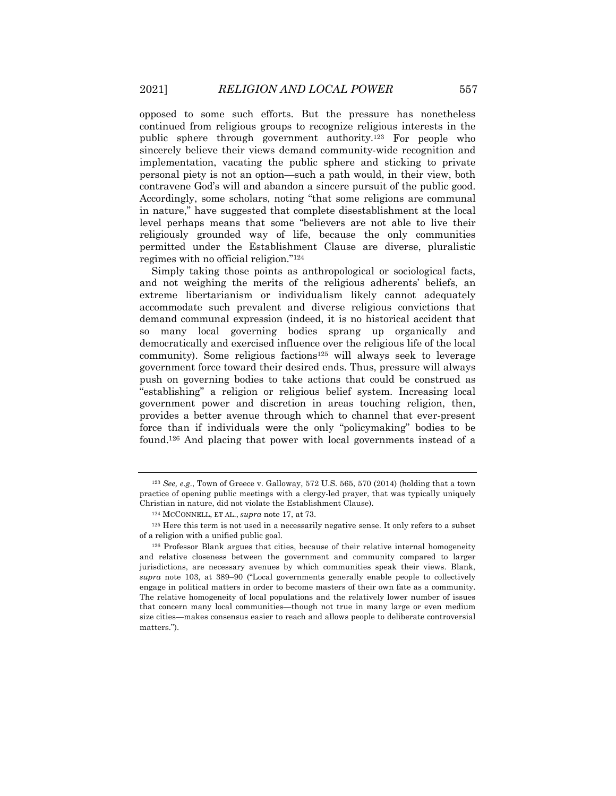opposed to some such efforts. But the pressure has nonetheless continued from religious groups to recognize religious interests in the public sphere through government authority.123 For people who sincerely believe their views demand community-wide recognition and implementation, vacating the public sphere and sticking to private personal piety is not an option—such a path would, in their view, both contravene God's will and abandon a sincere pursuit of the public good. Accordingly, some scholars, noting "that some religions are communal in nature," have suggested that complete disestablishment at the local level perhaps means that some "believers are not able to live their religiously grounded way of life, because the only communities permitted under the Establishment Clause are diverse, pluralistic regimes with no official religion."124

Simply taking those points as anthropological or sociological facts, and not weighing the merits of the religious adherents' beliefs, an extreme libertarianism or individualism likely cannot adequately accommodate such prevalent and diverse religious convictions that demand communal expression (indeed, it is no historical accident that so many local governing bodies sprang up organically and democratically and exercised influence over the religious life of the local community). Some religious factions125 will always seek to leverage government force toward their desired ends. Thus, pressure will always push on governing bodies to take actions that could be construed as "establishing" a religion or religious belief system. Increasing local government power and discretion in areas touching religion, then, provides a better avenue through which to channel that ever-present force than if individuals were the only "policymaking" bodies to be found.126 And placing that power with local governments instead of a

<sup>123</sup> *See, e.g.*, Town of Greece v. Galloway, 572 U.S. 565, 570 (2014) (holding that a town practice of opening public meetings with a clergy-led prayer, that was typically uniquely Christian in nature, did not violate the Establishment Clause).

<sup>124</sup> MCCONNELL, ET AL., *supra* note 17, at 73.

<sup>125</sup> Here this term is not used in a necessarily negative sense. It only refers to a subset of a religion with a unified public goal.

<sup>&</sup>lt;sup>126</sup> Professor Blank argues that cities, because of their relative internal homogeneity and relative closeness between the government and community compared to larger jurisdictions, are necessary avenues by which communities speak their views. Blank, *supra* note 103, at 389–90 ("Local governments generally enable people to collectively engage in political matters in order to become masters of their own fate as a community. The relative homogeneity of local populations and the relatively lower number of issues that concern many local communities—though not true in many large or even medium size cities—makes consensus easier to reach and allows people to deliberate controversial matters.").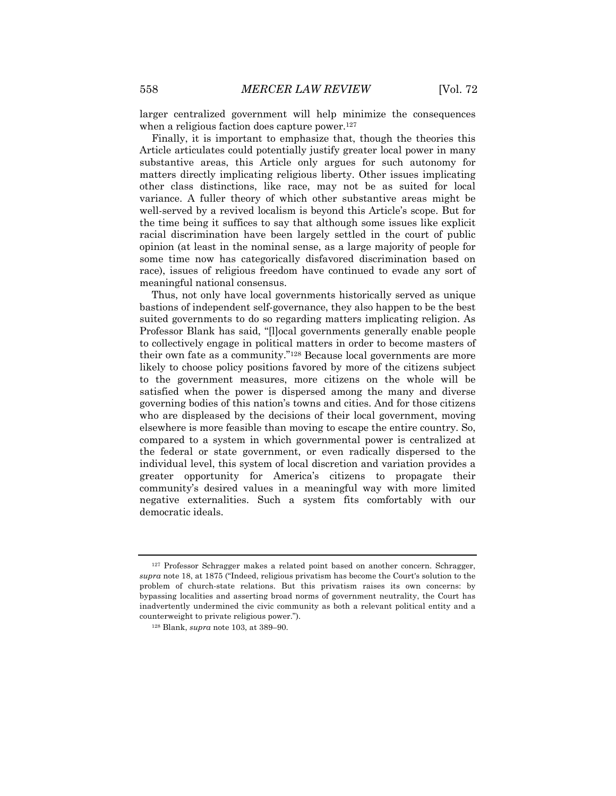larger centralized government will help minimize the consequences when a religious faction does capture power.<sup>127</sup>

Finally, it is important to emphasize that, though the theories this Article articulates could potentially justify greater local power in many substantive areas, this Article only argues for such autonomy for matters directly implicating religious liberty. Other issues implicating other class distinctions, like race, may not be as suited for local variance. A fuller theory of which other substantive areas might be well-served by a revived localism is beyond this Article's scope. But for the time being it suffices to say that although some issues like explicit racial discrimination have been largely settled in the court of public opinion (at least in the nominal sense, as a large majority of people for some time now has categorically disfavored discrimination based on race), issues of religious freedom have continued to evade any sort of meaningful national consensus.

Thus, not only have local governments historically served as unique bastions of independent self-governance, they also happen to be the best suited governments to do so regarding matters implicating religion. As Professor Blank has said, "[l]ocal governments generally enable people to collectively engage in political matters in order to become masters of their own fate as a community."128 Because local governments are more likely to choose policy positions favored by more of the citizens subject to the government measures, more citizens on the whole will be satisfied when the power is dispersed among the many and diverse governing bodies of this nation's towns and cities. And for those citizens who are displeased by the decisions of their local government, moving elsewhere is more feasible than moving to escape the entire country. So, compared to a system in which governmental power is centralized at the federal or state government, or even radically dispersed to the individual level, this system of local discretion and variation provides a greater opportunity for America's citizens to propagate their community's desired values in a meaningful way with more limited negative externalities. Such a system fits comfortably with our democratic ideals.

<sup>127</sup> Professor Schragger makes a related point based on another concern. Schragger, *supra* note 18, at 1875 ("Indeed, religious privatism has become the Court's solution to the problem of church-state relations. But this privatism raises its own concerns: by bypassing localities and asserting broad norms of government neutrality, the Court has inadvertently undermined the civic community as both a relevant political entity and a counterweight to private religious power.").

<sup>128</sup> Blank, *supra* note 103, at 389–90.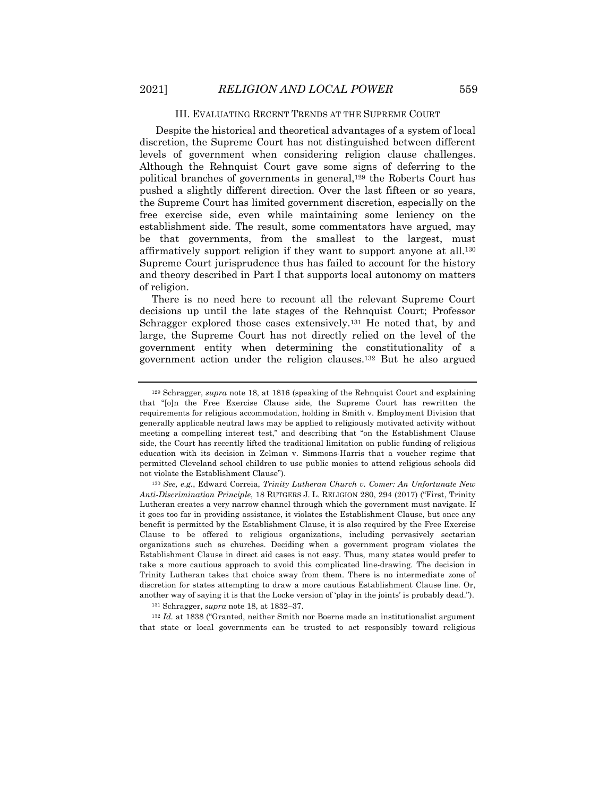#### III. EVALUATING RECENT TRENDS AT THE SUPREME COURT

Despite the historical and theoretical advantages of a system of local discretion, the Supreme Court has not distinguished between different levels of government when considering religion clause challenges. Although the Rehnquist Court gave some signs of deferring to the political branches of governments in general,129 the Roberts Court has pushed a slightly different direction. Over the last fifteen or so years, the Supreme Court has limited government discretion, especially on the free exercise side, even while maintaining some leniency on the establishment side. The result, some commentators have argued, may be that governments, from the smallest to the largest, must affirmatively support religion if they want to support anyone at all.130 Supreme Court jurisprudence thus has failed to account for the history and theory described in Part I that supports local autonomy on matters of religion.

There is no need here to recount all the relevant Supreme Court decisions up until the late stages of the Rehnquist Court; Professor Schragger explored those cases extensively.<sup>131</sup> He noted that, by and large, the Supreme Court has not directly relied on the level of the government entity when determining the constitutionality of a government action under the religion clauses.132 But he also argued

<sup>131</sup> Schragger, *supra* note 18, at 1832–37.

<sup>132</sup> *Id.* at 1838 ("Granted, neither Smith nor Boerne made an institutionalist argument that state or local governments can be trusted to act responsibly toward religious

<sup>129</sup> Schragger, *supra* note 18, at 1816 (speaking of the Rehnquist Court and explaining that "[o]n the Free Exercise Clause side, the Supreme Court has rewritten the requirements for religious accommodation, holding in Smith v. Employment Division that generally applicable neutral laws may be applied to religiously motivated activity without meeting a compelling interest test," and describing that "on the Establishment Clause side, the Court has recently lifted the traditional limitation on public funding of religious education with its decision in Zelman v. Simmons-Harris that a voucher regime that permitted Cleveland school children to use public monies to attend religious schools did not violate the Establishment Clause").

<sup>130</sup> *See, e.g.*, Edward Correia, *Trinity Lutheran Church v. Comer: An Unfortunate New Anti-Discrimination Principle*, 18 RUTGERS J. L. RELIGION 280, 294 (2017) ("First, Trinity Lutheran creates a very narrow channel through which the government must navigate. If it goes too far in providing assistance, it violates the Establishment Clause, but once any benefit is permitted by the Establishment Clause, it is also required by the Free Exercise Clause to be offered to religious organizations, including pervasively sectarian organizations such as churches. Deciding when a government program violates the Establishment Clause in direct aid cases is not easy. Thus, many states would prefer to take a more cautious approach to avoid this complicated line-drawing. The decision in Trinity Lutheran takes that choice away from them. There is no intermediate zone of discretion for states attempting to draw a more cautious Establishment Clause line. Or, another way of saying it is that the Locke version of 'play in the joints' is probably dead.").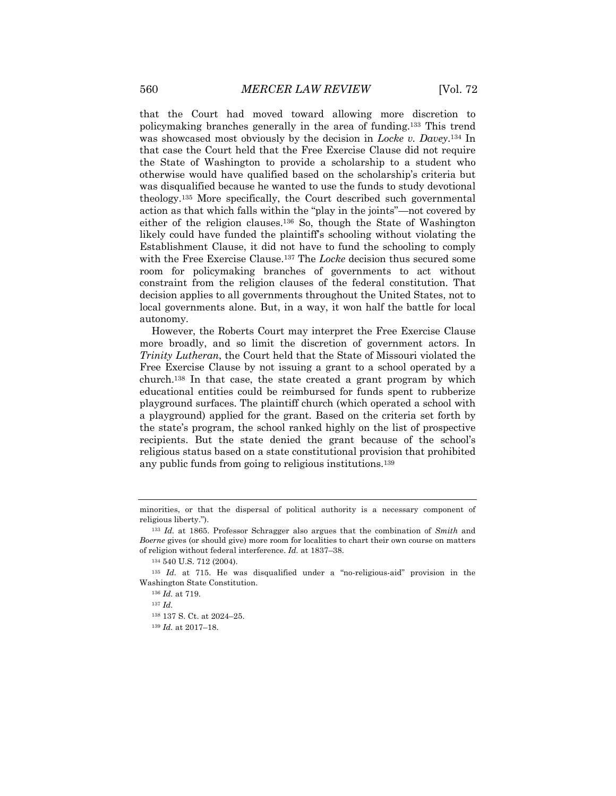that the Court had moved toward allowing more discretion to policymaking branches generally in the area of funding.133 This trend was showcased most obviously by the decision in *Locke v. Davey*.134 In that case the Court held that the Free Exercise Clause did not require the State of Washington to provide a scholarship to a student who otherwise would have qualified based on the scholarship's criteria but was disqualified because he wanted to use the funds to study devotional theology.135 More specifically, the Court described such governmental action as that which falls within the "play in the joints"—not covered by either of the religion clauses.136 So, though the State of Washington likely could have funded the plaintiff's schooling without violating the Establishment Clause, it did not have to fund the schooling to comply with the Free Exercise Clause.137 The *Locke* decision thus secured some room for policymaking branches of governments to act without constraint from the religion clauses of the federal constitution. That decision applies to all governments throughout the United States, not to local governments alone. But, in a way, it won half the battle for local autonomy.

However, the Roberts Court may interpret the Free Exercise Clause more broadly, and so limit the discretion of government actors. In *Trinity Lutheran*, the Court held that the State of Missouri violated the Free Exercise Clause by not issuing a grant to a school operated by a church.138 In that case, the state created a grant program by which educational entities could be reimbursed for funds spent to rubberize playground surfaces. The plaintiff church (which operated a school with a playground) applied for the grant. Based on the criteria set forth by the state's program, the school ranked highly on the list of prospective recipients. But the state denied the grant because of the school's religious status based on a state constitutional provision that prohibited any public funds from going to religious institutions.139

<sup>139</sup> *Id.* at 2017–18.

minorities, or that the dispersal of political authority is a necessary component of religious liberty.").

<sup>133</sup> *Id.* at 1865. Professor Schragger also argues that the combination of *Smith* and *Boerne* gives (or should give) more room for localities to chart their own course on matters of religion without federal interference. *Id.* at 1837–38.

<sup>134</sup> 540 U.S. 712 (2004).

<sup>135</sup> *Id.* at 715. He was disqualified under a "no-religious-aid" provision in the Washington State Constitution.

<sup>136</sup> *Id.* at 719.

<sup>137</sup> *Id.*

<sup>138</sup> 137 S. Ct. at 2024–25.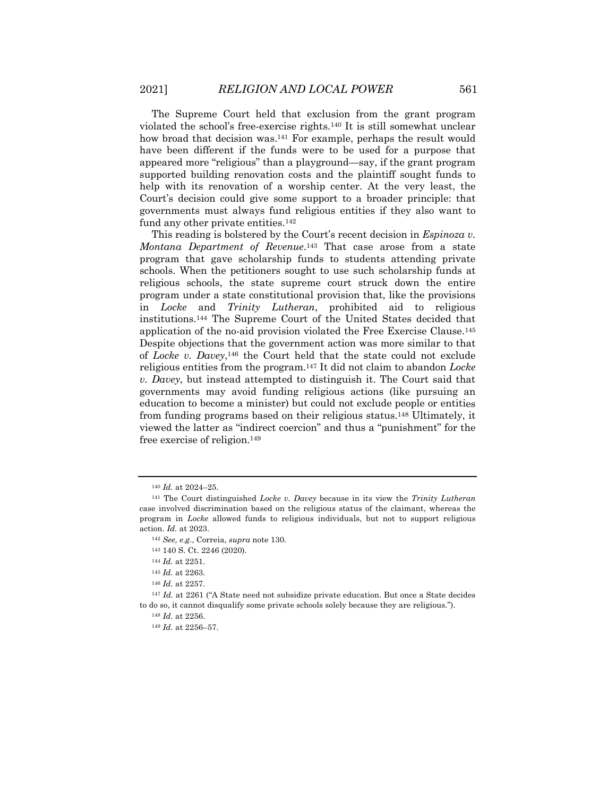The Supreme Court held that exclusion from the grant program violated the school's free-exercise rights.140 It is still somewhat unclear how broad that decision was.<sup>141</sup> For example, perhaps the result would have been different if the funds were to be used for a purpose that appeared more "religious" than a playground—say, if the grant program supported building renovation costs and the plaintiff sought funds to help with its renovation of a worship center. At the very least, the Court's decision could give some support to a broader principle: that governments must always fund religious entities if they also want to fund any other private entities.142

This reading is bolstered by the Court's recent decision in *Espinoza v. Montana Department of Revenue*.143 That case arose from a state program that gave scholarship funds to students attending private schools. When the petitioners sought to use such scholarship funds at religious schools, the state supreme court struck down the entire program under a state constitutional provision that, like the provisions in *Locke* and *Trinity Lutheran*, prohibited aid to religious institutions.144 The Supreme Court of the United States decided that application of the no-aid provision violated the Free Exercise Clause.145 Despite objections that the government action was more similar to that of *Locke v. Davey*,146 the Court held that the state could not exclude religious entities from the program.147 It did not claim to abandon *Locke v. Davey*, but instead attempted to distinguish it. The Court said that governments may avoid funding religious actions (like pursuing an education to become a minister) but could not exclude people or entities from funding programs based on their religious status.148 Ultimately, it viewed the latter as "indirect coercion" and thus a "punishment" for the free exercise of religion.149

<sup>140</sup> *Id.* at 2024–25.

<sup>141</sup> The Court distinguished *Locke v. Davey* because in its view the *Trinity Lutheran* case involved discrimination based on the religious status of the claimant, whereas the program in *Locke* allowed funds to religious individuals, but not to support religious action. *Id.* at 2023.

<sup>142</sup> *See, e.g.*, Correia, *supra* note 130.

<sup>143</sup> 140 S. Ct. 2246 (2020).

<sup>144</sup> *Id.* at 2251.

<sup>145</sup> *Id.* at 2263.

<sup>146</sup> *Id.* at 2257.

<sup>147</sup> *Id.* at 2261 ("A State need not subsidize private education. But once a State decides to do so, it cannot disqualify some private schools solely because they are religious.").

<sup>148</sup> *Id.* at 2256.

<sup>149</sup> *Id.* at 2256–57.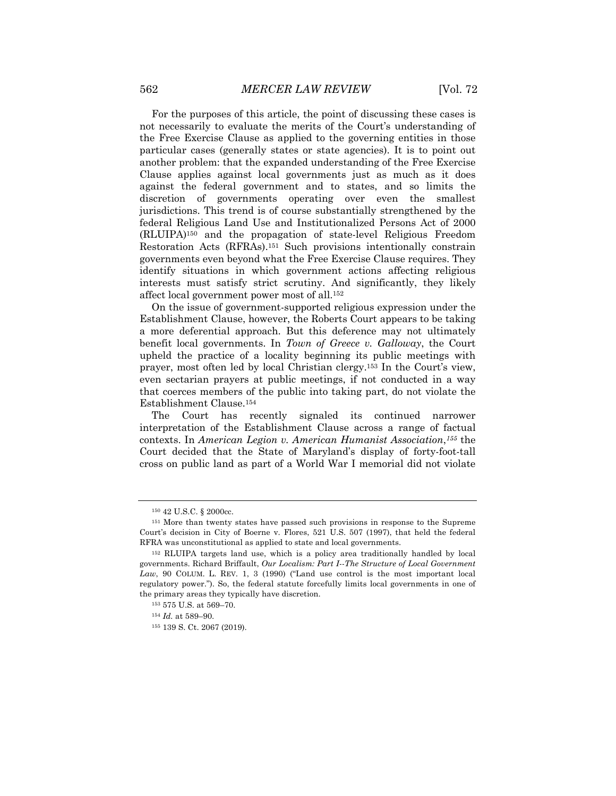For the purposes of this article, the point of discussing these cases is not necessarily to evaluate the merits of the Court's understanding of the Free Exercise Clause as applied to the governing entities in those particular cases (generally states or state agencies). It is to point out another problem: that the expanded understanding of the Free Exercise Clause applies against local governments just as much as it does against the federal government and to states, and so limits the discretion of governments operating over even the smallest jurisdictions. This trend is of course substantially strengthened by the federal Religious Land Use and Institutionalized Persons Act of 2000 (RLUIPA)150 and the propagation of state-level Religious Freedom Restoration Acts (RFRAs).151 Such provisions intentionally constrain governments even beyond what the Free Exercise Clause requires. They identify situations in which government actions affecting religious interests must satisfy strict scrutiny. And significantly, they likely affect local government power most of all.152

On the issue of government-supported religious expression under the Establishment Clause, however, the Roberts Court appears to be taking a more deferential approach. But this deference may not ultimately benefit local governments. In *Town of Greece v. Galloway*, the Court upheld the practice of a locality beginning its public meetings with prayer, most often led by local Christian clergy.153 In the Court's view, even sectarian prayers at public meetings, if not conducted in a way that coerces members of the public into taking part, do not violate the Establishment Clause.154

The Court has recently signaled its continued narrower interpretation of the Establishment Clause across a range of factual contexts. In *American Legion v. American Humanist Association*,*<sup>155</sup>* the Court decided that the State of Maryland's display of forty-foot-tall cross on public land as part of a World War I memorial did not violate

<sup>150</sup> 42 U.S.C. § 2000cc.

<sup>151</sup> More than twenty states have passed such provisions in response to the Supreme Court's decision in City of Boerne v. Flores, 521 U.S. 507 (1997), that held the federal RFRA was unconstitutional as applied to state and local governments.

<sup>152</sup> RLUIPA targets land use, which is a policy area traditionally handled by local governments. Richard Briffault, *Our Localism: Part I--The Structure of Local Government Law*, 90 COLUM. L. REV. 1, 3 (1990) ("Land use control is the most important local regulatory power."). So, the federal statute forcefully limits local governments in one of the primary areas they typically have discretion.

<sup>153</sup> 575 U.S. at 569–70.

<sup>154</sup> *Id.* at 589–90.

<sup>155</sup> 139 S. Ct. 2067 (2019).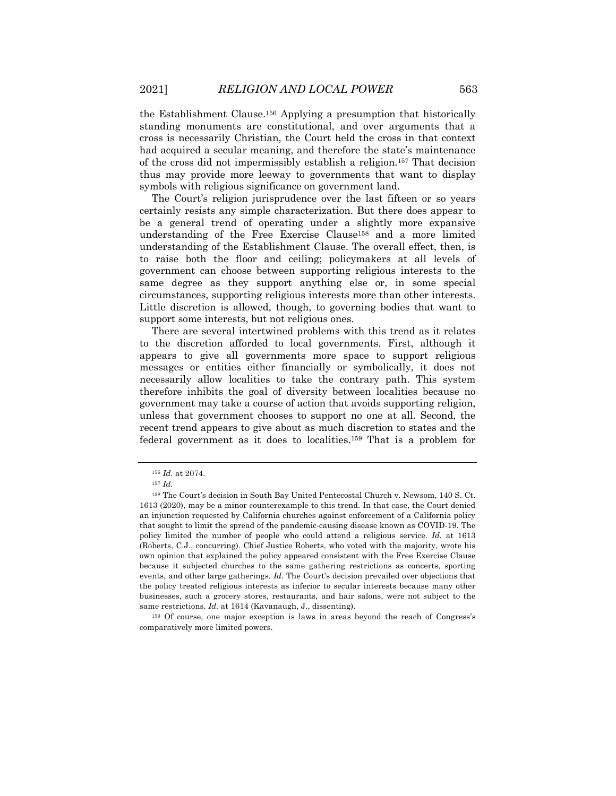the Establishment Clause.156 Applying a presumption that historically standing monuments are constitutional, and over arguments that a cross is necessarily Christian, the Court held the cross in that context had acquired a secular meaning, and therefore the state's maintenance of the cross did not impermissibly establish a religion.157 That decision thus may provide more leeway to governments that want to display symbols with religious significance on government land.

The Court's religion jurisprudence over the last fifteen or so years certainly resists any simple characterization. But there does appear to be a general trend of operating under a slightly more expansive understanding of the Free Exercise Clause158 and a more limited understanding of the Establishment Clause. The overall effect, then, is to raise both the floor and ceiling; policymakers at all levels of government can choose between supporting religious interests to the same degree as they support anything else or, in some special circumstances, supporting religious interests more than other interests. Little discretion is allowed, though, to governing bodies that want to support some interests, but not religious ones.

There are several intertwined problems with this trend as it relates to the discretion afforded to local governments. First, although it appears to give all governments more space to support religious messages or entities either financially or symbolically, it does not necessarily allow localities to take the contrary path. This system therefore inhibits the goal of diversity between localities because no government may take a course of action that avoids supporting religion, unless that government chooses to support no one at all. Second, the recent trend appears to give about as much discretion to states and the federal government as it does to localities.159 That is a problem for

<sup>156</sup> *Id.* at 2074.

<sup>157</sup> *Id.*

<sup>158</sup> The Court's decision in South Bay United Pentecostal Church v. Newsom, 140 S. Ct. 1613 (2020), may be a minor counterexample to this trend. In that case, the Court denied an injunction requested by California churches against enforcement of a California policy that sought to limit the spread of the pandemic-causing disease known as COVID-19. The policy limited the number of people who could attend a religious service. *Id.* at 1613 (Roberts, C.J., concurring). Chief Justice Roberts, who voted with the majority, wrote his own opinion that explained the policy appeared consistent with the Free Exercise Clause because it subjected churches to the same gathering restrictions as concerts, sporting events, and other large gatherings. *Id.* The Court's decision prevailed over objections that the policy treated religious interests as inferior to secular interests because many other businesses, such a grocery stores, restaurants, and hair salons, were not subject to the same restrictions. *Id.* at 1614 (Kavanaugh, J., dissenting).

<sup>159</sup> Of course, one major exception is laws in areas beyond the reach of Congress's comparatively more limited powers.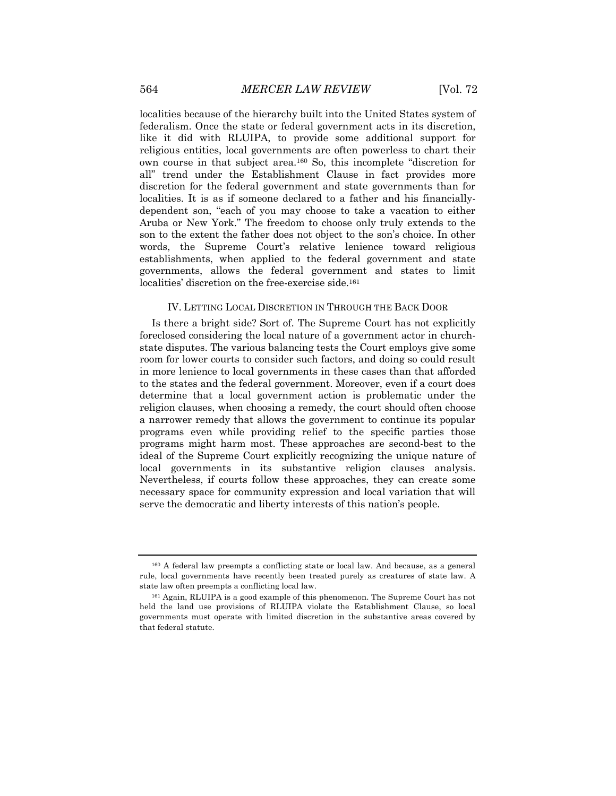localities because of the hierarchy built into the United States system of federalism. Once the state or federal government acts in its discretion, like it did with RLUIPA, to provide some additional support for religious entities, local governments are often powerless to chart their own course in that subject area.160 So, this incomplete "discretion for all" trend under the Establishment Clause in fact provides more discretion for the federal government and state governments than for localities. It is as if someone declared to a father and his financiallydependent son, "each of you may choose to take a vacation to either Aruba or New York." The freedom to choose only truly extends to the son to the extent the father does not object to the son's choice. In other words, the Supreme Court's relative lenience toward religious establishments, when applied to the federal government and state governments, allows the federal government and states to limit localities' discretion on the free-exercise side.<sup>161</sup>

#### IV. LETTING LOCAL DISCRETION IN THROUGH THE BACK DOOR

Is there a bright side? Sort of. The Supreme Court has not explicitly foreclosed considering the local nature of a government actor in churchstate disputes. The various balancing tests the Court employs give some room for lower courts to consider such factors, and doing so could result in more lenience to local governments in these cases than that afforded to the states and the federal government. Moreover, even if a court does determine that a local government action is problematic under the religion clauses, when choosing a remedy, the court should often choose a narrower remedy that allows the government to continue its popular programs even while providing relief to the specific parties those programs might harm most. These approaches are second-best to the ideal of the Supreme Court explicitly recognizing the unique nature of local governments in its substantive religion clauses analysis. Nevertheless, if courts follow these approaches, they can create some necessary space for community expression and local variation that will serve the democratic and liberty interests of this nation's people.

<sup>160</sup> A federal law preempts a conflicting state or local law. And because, as a general rule, local governments have recently been treated purely as creatures of state law. A state law often preempts a conflicting local law.

<sup>161</sup> Again, RLUIPA is a good example of this phenomenon. The Supreme Court has not held the land use provisions of RLUIPA violate the Establishment Clause, so local governments must operate with limited discretion in the substantive areas covered by that federal statute.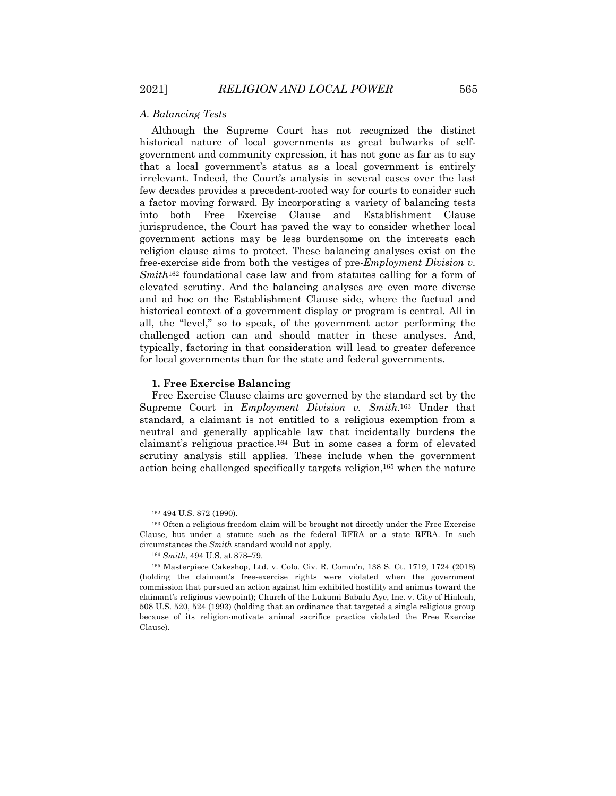# *A. Balancing Tests*

Although the Supreme Court has not recognized the distinct historical nature of local governments as great bulwarks of selfgovernment and community expression, it has not gone as far as to say that a local government's status as a local government is entirely irrelevant. Indeed, the Court's analysis in several cases over the last few decades provides a precedent-rooted way for courts to consider such a factor moving forward. By incorporating a variety of balancing tests into both Free Exercise Clause and Establishment Clause jurisprudence, the Court has paved the way to consider whether local government actions may be less burdensome on the interests each religion clause aims to protect. These balancing analyses exist on the free-exercise side from both the vestiges of pre-*Employment Division v. Smith*<sup>162</sup> foundational case law and from statutes calling for a form of elevated scrutiny. And the balancing analyses are even more diverse and ad hoc on the Establishment Clause side, where the factual and historical context of a government display or program is central. All in all, the "level," so to speak, of the government actor performing the challenged action can and should matter in these analyses. And, typically, factoring in that consideration will lead to greater deference for local governments than for the state and federal governments.

# **1. Free Exercise Balancing**

Free Exercise Clause claims are governed by the standard set by the Supreme Court in *Employment Division v. Smith*.163 Under that standard, a claimant is not entitled to a religious exemption from a neutral and generally applicable law that incidentally burdens the claimant's religious practice.164 But in some cases a form of elevated scrutiny analysis still applies. These include when the government action being challenged specifically targets religion,165 when the nature

<sup>162</sup> 494 U.S. 872 (1990).

<sup>163</sup> Often a religious freedom claim will be brought not directly under the Free Exercise Clause, but under a statute such as the federal RFRA or a state RFRA. In such circumstances the *Smith* standard would not apply.

<sup>164</sup> *Smith*, 494 U.S. at 878–79.

<sup>165</sup> Masterpiece Cakeshop, Ltd. v. Colo. Civ. R. Comm'n, 138 S. Ct. 1719, 1724 (2018) (holding the claimant's free-exercise rights were violated when the government commission that pursued an action against him exhibited hostility and animus toward the claimant's religious viewpoint); Church of the Lukumi Babalu Aye, Inc. v. City of Hialeah, 508 U.S. 520, 524 (1993) (holding that an ordinance that targeted a single religious group because of its religion-motivate animal sacrifice practice violated the Free Exercise Clause).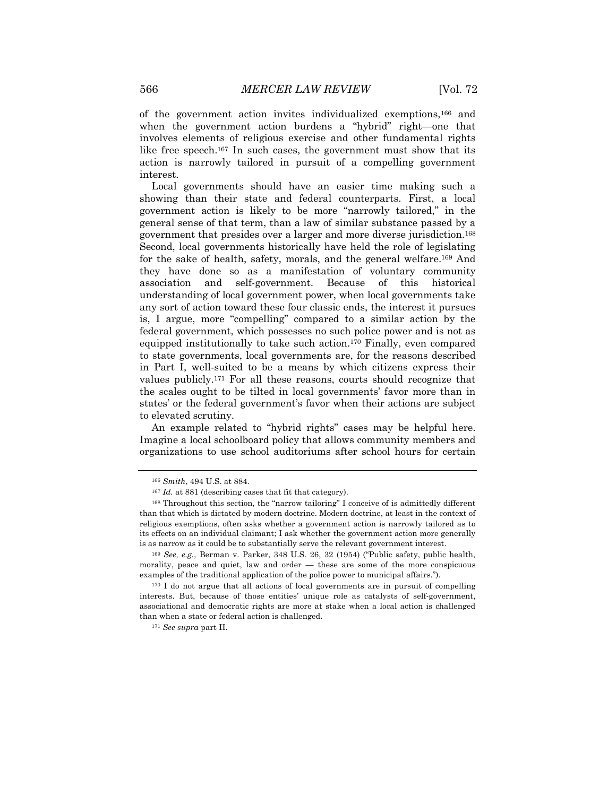of the government action invites individualized exemptions,166 and when the government action burdens a "hybrid" right—one that involves elements of religious exercise and other fundamental rights like free speech.167 In such cases, the government must show that its action is narrowly tailored in pursuit of a compelling government interest.

Local governments should have an easier time making such a showing than their state and federal counterparts. First, a local government action is likely to be more "narrowly tailored," in the general sense of that term, than a law of similar substance passed by a government that presides over a larger and more diverse jurisdiction.168 Second, local governments historically have held the role of legislating for the sake of health, safety, morals, and the general welfare.169 And they have done so as a manifestation of voluntary community association and self-government. Because of this historical understanding of local government power, when local governments take any sort of action toward these four classic ends, the interest it pursues is, I argue, more "compelling" compared to a similar action by the federal government, which possesses no such police power and is not as equipped institutionally to take such action.170 Finally, even compared to state governments, local governments are, for the reasons described in Part I, well-suited to be a means by which citizens express their values publicly.171 For all these reasons, courts should recognize that the scales ought to be tilted in local governments' favor more than in states' or the federal government's favor when their actions are subject to elevated scrutiny.

An example related to "hybrid rights" cases may be helpful here. Imagine a local schoolboard policy that allows community members and organizations to use school auditoriums after school hours for certain

<sup>166</sup> *Smith*, 494 U.S. at 884.

<sup>&</sup>lt;sup>167</sup> *Id.* at 881 (describing cases that fit that category).

<sup>168</sup> Throughout this section, the "narrow tailoring" I conceive of is admittedly different than that which is dictated by modern doctrine. Modern doctrine, at least in the context of religious exemptions, often asks whether a government action is narrowly tailored as to its effects on an individual claimant; I ask whether the government action more generally is as narrow as it could be to substantially serve the relevant government interest.

<sup>169</sup> *See, e.g.*, Berman v. Parker, 348 U.S. 26, 32 (1954) ("Public safety, public health, morality, peace and quiet, law and order — these are some of the more conspicuous examples of the traditional application of the police power to municipal affairs.").

<sup>&</sup>lt;sup>170</sup> I do not argue that all actions of local governments are in pursuit of compelling interests. But, because of those entities' unique role as catalysts of self-government, associational and democratic rights are more at stake when a local action is challenged than when a state or federal action is challenged.

<sup>171</sup> *See supra* part II.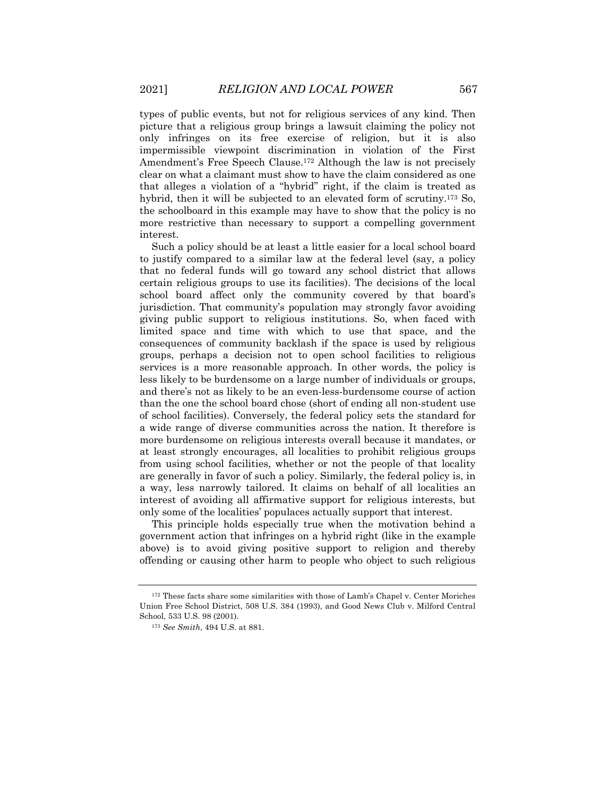types of public events, but not for religious services of any kind. Then picture that a religious group brings a lawsuit claiming the policy not only infringes on its free exercise of religion, but it is also impermissible viewpoint discrimination in violation of the First Amendment's Free Speech Clause.172 Although the law is not precisely clear on what a claimant must show to have the claim considered as one that alleges a violation of a "hybrid" right, if the claim is treated as hybrid, then it will be subjected to an elevated form of scrutiny.173 So, the schoolboard in this example may have to show that the policy is no more restrictive than necessary to support a compelling government interest.

Such a policy should be at least a little easier for a local school board to justify compared to a similar law at the federal level (say, a policy that no federal funds will go toward any school district that allows certain religious groups to use its facilities). The decisions of the local school board affect only the community covered by that board's jurisdiction. That community's population may strongly favor avoiding giving public support to religious institutions. So, when faced with limited space and time with which to use that space, and the consequences of community backlash if the space is used by religious groups, perhaps a decision not to open school facilities to religious services is a more reasonable approach. In other words, the policy is less likely to be burdensome on a large number of individuals or groups, and there's not as likely to be an even-less-burdensome course of action than the one the school board chose (short of ending all non-student use of school facilities). Conversely, the federal policy sets the standard for a wide range of diverse communities across the nation. It therefore is more burdensome on religious interests overall because it mandates, or at least strongly encourages, all localities to prohibit religious groups from using school facilities, whether or not the people of that locality are generally in favor of such a policy. Similarly, the federal policy is, in a way, less narrowly tailored. It claims on behalf of all localities an interest of avoiding all affirmative support for religious interests, but only some of the localities' populaces actually support that interest.

This principle holds especially true when the motivation behind a government action that infringes on a hybrid right (like in the example above) is to avoid giving positive support to religion and thereby offending or causing other harm to people who object to such religious

<sup>&</sup>lt;sup>172</sup> These facts share some similarities with those of Lamb's Chapel v. Center Moriches Union Free School District, 508 U.S. 384 (1993), and Good News Club v. Milford Central School, 533 U.S. 98 (2001).

<sup>173</sup> *See Smith*, 494 U.S. at 881.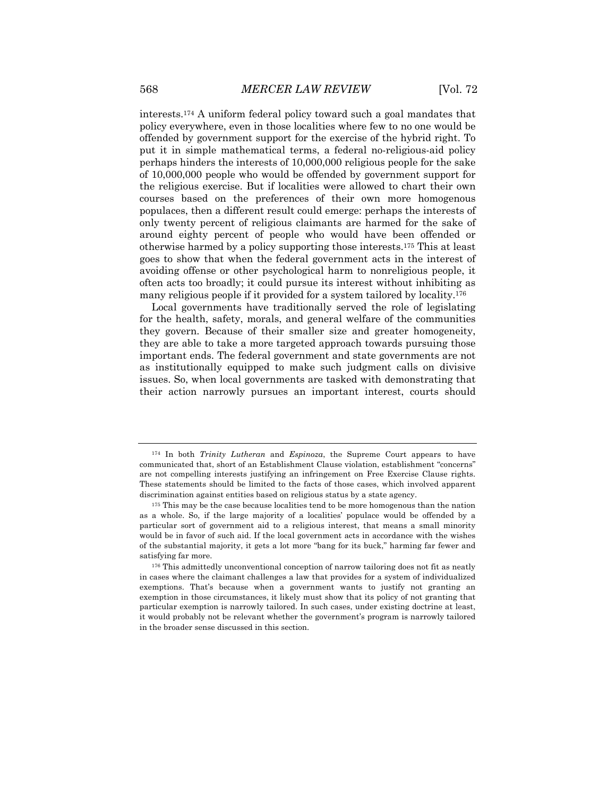interests.174 A uniform federal policy toward such a goal mandates that policy everywhere, even in those localities where few to no one would be offended by government support for the exercise of the hybrid right. To put it in simple mathematical terms, a federal no-religious-aid policy perhaps hinders the interests of 10,000,000 religious people for the sake of 10,000,000 people who would be offended by government support for the religious exercise. But if localities were allowed to chart their own courses based on the preferences of their own more homogenous populaces, then a different result could emerge: perhaps the interests of only twenty percent of religious claimants are harmed for the sake of around eighty percent of people who would have been offended or otherwise harmed by a policy supporting those interests.175 This at least goes to show that when the federal government acts in the interest of avoiding offense or other psychological harm to nonreligious people, it often acts too broadly; it could pursue its interest without inhibiting as many religious people if it provided for a system tailored by locality.176

Local governments have traditionally served the role of legislating for the health, safety, morals, and general welfare of the communities they govern. Because of their smaller size and greater homogeneity, they are able to take a more targeted approach towards pursuing those important ends. The federal government and state governments are not as institutionally equipped to make such judgment calls on divisive issues. So, when local governments are tasked with demonstrating that their action narrowly pursues an important interest, courts should

<sup>174</sup> In both *Trinity Lutheran* and *Espinoza*, the Supreme Court appears to have communicated that, short of an Establishment Clause violation, establishment "concerns" are not compelling interests justifying an infringement on Free Exercise Clause rights. These statements should be limited to the facts of those cases, which involved apparent discrimination against entities based on religious status by a state agency.

<sup>&</sup>lt;sup>175</sup> This may be the case because localities tend to be more homogenous than the nation as a whole. So, if the large majority of a localities' populace would be offended by a particular sort of government aid to a religious interest, that means a small minority would be in favor of such aid. If the local government acts in accordance with the wishes of the substantial majority, it gets a lot more "bang for its buck," harming far fewer and satisfying far more.

<sup>&</sup>lt;sup>176</sup> This admittedly unconventional conception of narrow tailoring does not fit as neatly in cases where the claimant challenges a law that provides for a system of individualized exemptions. That's because when a government wants to justify not granting an exemption in those circumstances, it likely must show that its policy of not granting that particular exemption is narrowly tailored. In such cases, under existing doctrine at least, it would probably not be relevant whether the government's program is narrowly tailored in the broader sense discussed in this section.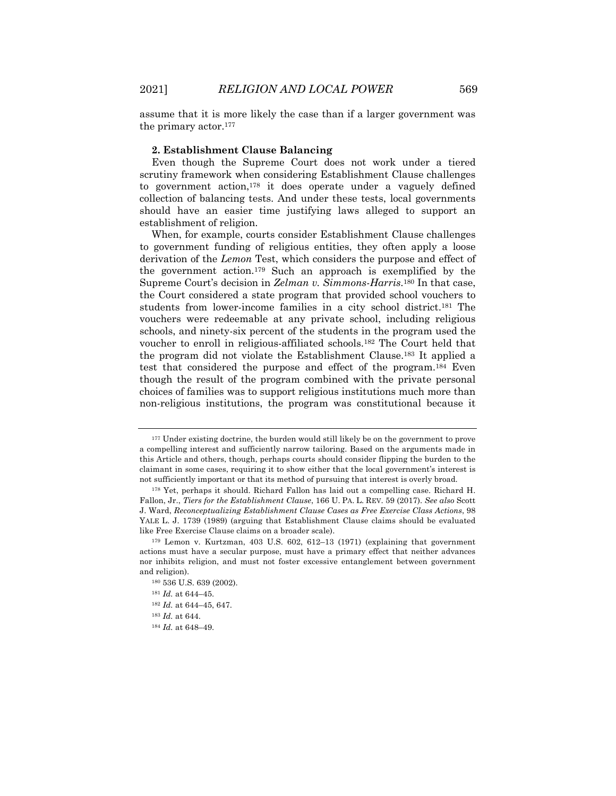assume that it is more likely the case than if a larger government was the primary actor.177

#### **2. Establishment Clause Balancing**

Even though the Supreme Court does not work under a tiered scrutiny framework when considering Establishment Clause challenges to government action,178 it does operate under a vaguely defined collection of balancing tests. And under these tests, local governments should have an easier time justifying laws alleged to support an establishment of religion.

When, for example, courts consider Establishment Clause challenges to government funding of religious entities, they often apply a loose derivation of the *Lemon* Test, which considers the purpose and effect of the government action.179 Such an approach is exemplified by the Supreme Court's decision in *Zelman v. Simmons-Harris*.180 In that case, the Court considered a state program that provided school vouchers to students from lower-income families in a city school district.181 The vouchers were redeemable at any private school, including religious schools, and ninety-six percent of the students in the program used the voucher to enroll in religious-affiliated schools.182 The Court held that the program did not violate the Establishment Clause.183 It applied a test that considered the purpose and effect of the program.184 Even though the result of the program combined with the private personal choices of families was to support religious institutions much more than non-religious institutions, the program was constitutional because it

<sup>&</sup>lt;sup>177</sup> Under existing doctrine, the burden would still likely be on the government to prove a compelling interest and sufficiently narrow tailoring. Based on the arguments made in this Article and others, though, perhaps courts should consider flipping the burden to the claimant in some cases, requiring it to show either that the local government's interest is not sufficiently important or that its method of pursuing that interest is overly broad.

<sup>178</sup> Yet, perhaps it should. Richard Fallon has laid out a compelling case. Richard H. Fallon, Jr., *Tiers for the Establishment Clause*, 166 U. PA. L. REV. 59 (2017). *See also* Scott J. Ward, *Reconceptualizing Establishment Clause Cases as Free Exercise Class Actions*, 98 YALE L. J. 1739 (1989) (arguing that Establishment Clause claims should be evaluated like Free Exercise Clause claims on a broader scale).

<sup>179</sup> Lemon v. Kurtzman, 403 U.S. 602, 612–13 (1971) (explaining that government actions must have a secular purpose, must have a primary effect that neither advances nor inhibits religion, and must not foster excessive entanglement between government and religion).

<sup>180</sup> 536 U.S. 639 (2002).

<sup>181</sup> *Id.* at 644–45.

<sup>182</sup> *Id.* at 644–45, 647.

<sup>183</sup> *Id.* at 644.

<sup>184</sup> *Id.* at 648–49.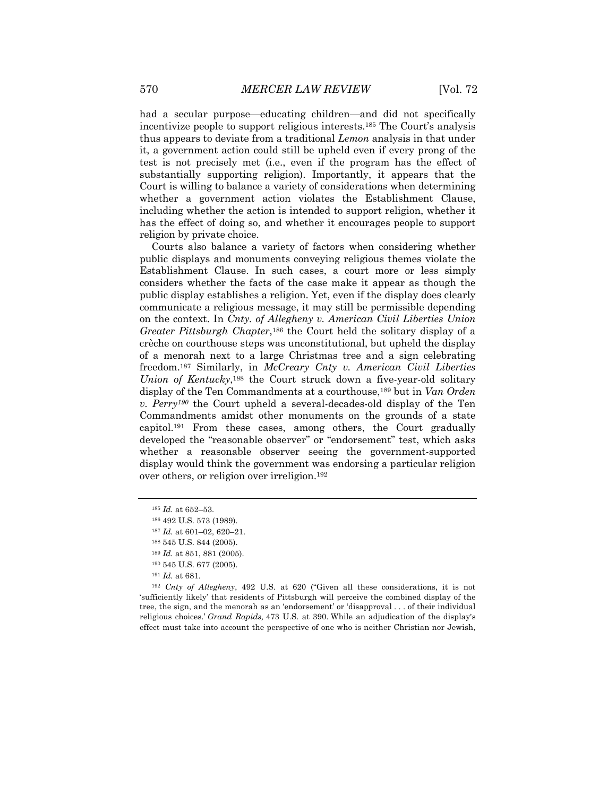had a secular purpose—educating children—and did not specifically incentivize people to support religious interests.185 The Court's analysis thus appears to deviate from a traditional *Lemon* analysis in that under it, a government action could still be upheld even if every prong of the test is not precisely met (i.e., even if the program has the effect of substantially supporting religion). Importantly, it appears that the Court is willing to balance a variety of considerations when determining whether a government action violates the Establishment Clause, including whether the action is intended to support religion, whether it has the effect of doing so, and whether it encourages people to support religion by private choice.

Courts also balance a variety of factors when considering whether public displays and monuments conveying religious themes violate the Establishment Clause. In such cases, a court more or less simply considers whether the facts of the case make it appear as though the public display establishes a religion. Yet, even if the display does clearly communicate a religious message, it may still be permissible depending on the context. In *Cnty. of Allegheny v. American Civil Liberties Union Greater Pittsburgh Chapter*,186 the Court held the solitary display of a crèche on courthouse steps was unconstitutional, but upheld the display of a menorah next to a large Christmas tree and a sign celebrating freedom.187 Similarly, in *McCreary Cnty v. American Civil Liberties Union of Kentucky*,188 the Court struck down a five-year-old solitary display of the Ten Commandments at a courthouse,189 but in *Van Orden v. Perry190* the Court upheld a several-decades-old display of the Ten Commandments amidst other monuments on the grounds of a state capitol.191 From these cases, among others, the Court gradually developed the "reasonable observer" or "endorsement" test, which asks whether a reasonable observer seeing the government-supported display would think the government was endorsing a particular religion over others, or religion over irreligion.192

- <sup>190</sup> 545 U.S. 677 (2005).
- <sup>191</sup> *Id.* at 681.

<sup>192</sup> *Cnty of Allegheny*, 492 U.S. at 620 ("Given all these considerations, it is not 'sufficiently likely' that residents of Pittsburgh will perceive the combined display of the tree, the sign, and the menorah as an 'endorsement' or 'disapproval . . . of their individual religious choices.' *Grand Rapids,* 473 U.S. at 390. While an adjudication of the display's effect must take into account the perspective of one who is neither Christian nor Jewish,

<sup>185</sup> *Id.* at 652–53.

<sup>186</sup> 492 U.S. 573 (1989).

<sup>187</sup> *Id.* at 601–02, 620–21.

<sup>188</sup> 545 U.S. 844 (2005).

<sup>189</sup> *Id.* at 851, 881 (2005).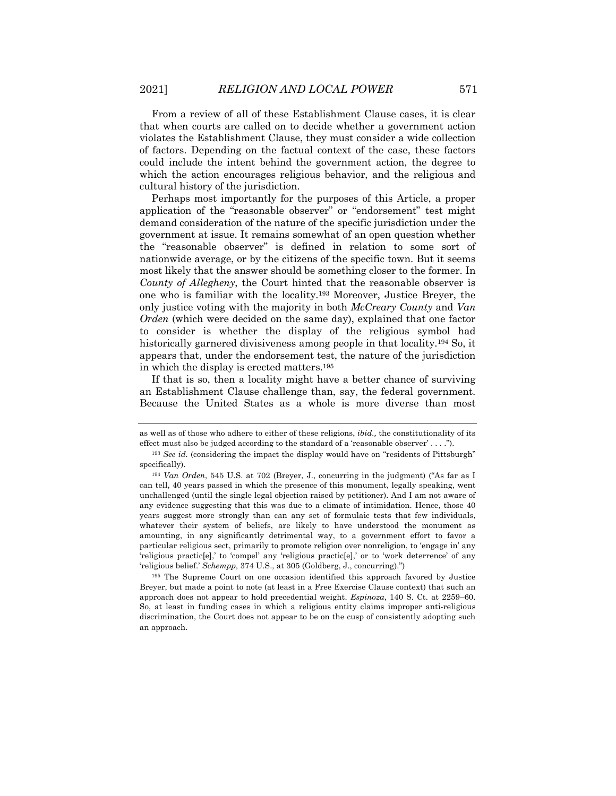From a review of all of these Establishment Clause cases, it is clear that when courts are called on to decide whether a government action violates the Establishment Clause, they must consider a wide collection of factors. Depending on the factual context of the case, these factors could include the intent behind the government action, the degree to which the action encourages religious behavior, and the religious and cultural history of the jurisdiction.

Perhaps most importantly for the purposes of this Article, a proper application of the "reasonable observer" or "endorsement" test might demand consideration of the nature of the specific jurisdiction under the government at issue. It remains somewhat of an open question whether the "reasonable observer" is defined in relation to some sort of nationwide average, or by the citizens of the specific town. But it seems most likely that the answer should be something closer to the former. In *County of Allegheny*, the Court hinted that the reasonable observer is one who is familiar with the locality.193 Moreover, Justice Breyer, the only justice voting with the majority in both *McCreary County* and *Van Orden* (which were decided on the same day), explained that one factor to consider is whether the display of the religious symbol had historically garnered divisiveness among people in that locality.<sup>194</sup> So, it appears that, under the endorsement test, the nature of the jurisdiction in which the display is erected matters.195

If that is so, then a locality might have a better chance of surviving an Establishment Clause challenge than, say, the federal government. Because the United States as a whole is more diverse than most

as well as of those who adhere to either of these religions, *ibid.,* the constitutionality of its effect must also be judged according to the standard of a 'reasonable observer' . . . .").

<sup>193</sup> *See id.* (considering the impact the display would have on "residents of Pittsburgh" specifically).

<sup>194</sup> *Van Orden*, 545 U.S. at 702 (Breyer, J., concurring in the judgment) ("As far as I can tell, 40 years passed in which the presence of this monument, legally speaking, went unchallenged (until the single legal objection raised by petitioner). And I am not aware of any evidence suggesting that this was due to a climate of intimidation. Hence, those 40 years suggest more strongly than can any set of formulaic tests that few individuals, whatever their system of beliefs, are likely to have understood the monument as amounting, in any significantly detrimental way, to a government effort to favor a particular religious sect, primarily to promote religion over nonreligion, to 'engage in' any 'religious practic[e],' to 'compel' any 'religious practic[e],' or to 'work deterrence' of any 'religious belief.' *Schempp,* 374 U.S., at 305 (Goldberg, J., concurring).")

<sup>195</sup> The Supreme Court on one occasion identified this approach favored by Justice Breyer, but made a point to note (at least in a Free Exercise Clause context) that such an approach does not appear to hold precedential weight. *Espinoza*, 140 S. Ct. at 2259–60. So, at least in funding cases in which a religious entity claims improper anti-religious discrimination, the Court does not appear to be on the cusp of consistently adopting such an approach.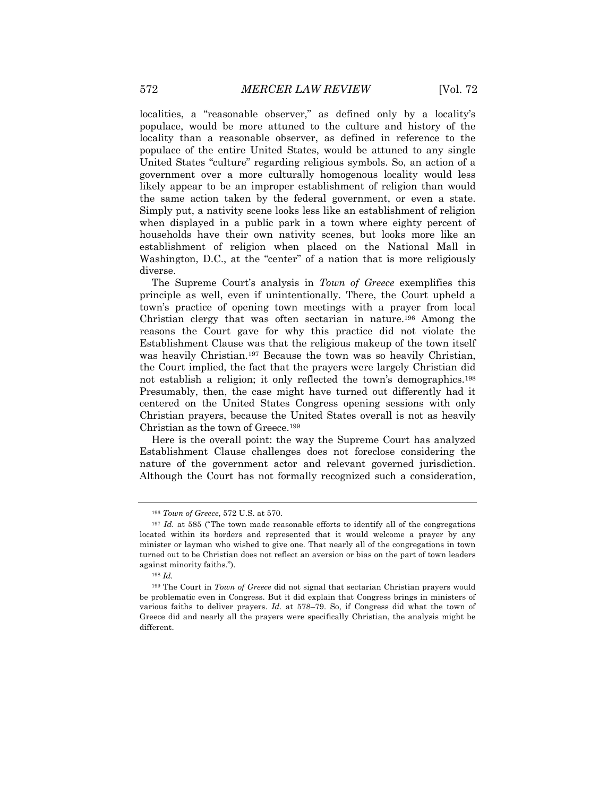localities, a "reasonable observer," as defined only by a locality's populace, would be more attuned to the culture and history of the locality than a reasonable observer, as defined in reference to the populace of the entire United States, would be attuned to any single United States "culture" regarding religious symbols. So, an action of a government over a more culturally homogenous locality would less likely appear to be an improper establishment of religion than would the same action taken by the federal government, or even a state. Simply put, a nativity scene looks less like an establishment of religion when displayed in a public park in a town where eighty percent of households have their own nativity scenes, but looks more like an establishment of religion when placed on the National Mall in Washington, D.C., at the "center" of a nation that is more religiously diverse.

The Supreme Court's analysis in *Town of Greece* exemplifies this principle as well, even if unintentionally. There, the Court upheld a town's practice of opening town meetings with a prayer from local Christian clergy that was often sectarian in nature.196 Among the reasons the Court gave for why this practice did not violate the Establishment Clause was that the religious makeup of the town itself was heavily Christian.197 Because the town was so heavily Christian, the Court implied, the fact that the prayers were largely Christian did not establish a religion; it only reflected the town's demographics.198 Presumably, then, the case might have turned out differently had it centered on the United States Congress opening sessions with only Christian prayers, because the United States overall is not as heavily Christian as the town of Greece.199

Here is the overall point: the way the Supreme Court has analyzed Establishment Clause challenges does not foreclose considering the nature of the government actor and relevant governed jurisdiction. Although the Court has not formally recognized such a consideration,

<sup>196</sup> *Town of Greece*, 572 U.S. at 570.

<sup>&</sup>lt;sup>197</sup> *Id.* at 585 ("The town made reasonable efforts to identify all of the congregations located within its borders and represented that it would welcome a prayer by any minister or layman who wished to give one. That nearly all of the congregations in town turned out to be Christian does not reflect an aversion or bias on the part of town leaders against minority faiths.").

<sup>198</sup> *Id.*

<sup>199</sup> The Court in *Town of Greece* did not signal that sectarian Christian prayers would be problematic even in Congress. But it did explain that Congress brings in ministers of various faiths to deliver prayers. *Id.* at 578–79. So, if Congress did what the town of Greece did and nearly all the prayers were specifically Christian, the analysis might be different.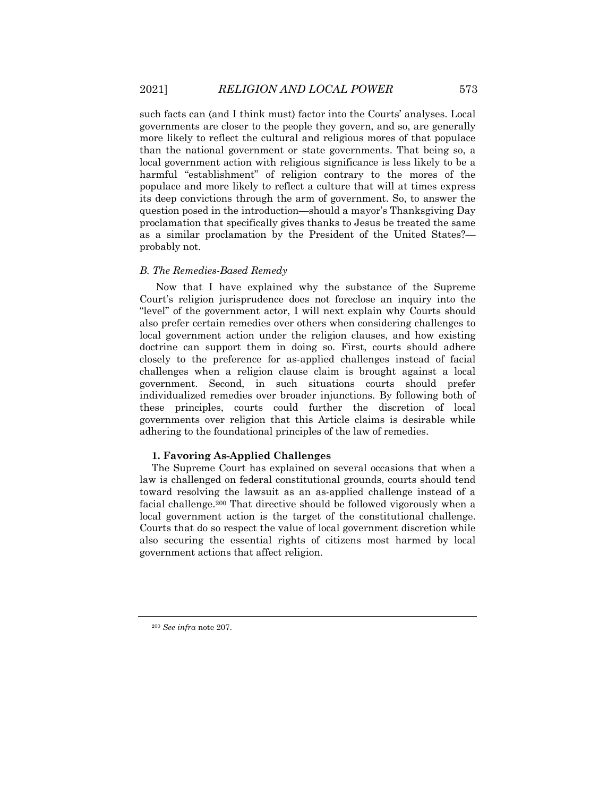such facts can (and I think must) factor into the Courts' analyses. Local governments are closer to the people they govern, and so, are generally more likely to reflect the cultural and religious mores of that populace than the national government or state governments. That being so, a local government action with religious significance is less likely to be a harmful "establishment" of religion contrary to the mores of the populace and more likely to reflect a culture that will at times express its deep convictions through the arm of government. So, to answer the question posed in the introduction—should a mayor's Thanksgiving Day proclamation that specifically gives thanks to Jesus be treated the same as a similar proclamation by the President of the United States? probably not.

# *B. The Remedies-Based Remedy*

Now that I have explained why the substance of the Supreme Court's religion jurisprudence does not foreclose an inquiry into the "level" of the government actor, I will next explain why Courts should also prefer certain remedies over others when considering challenges to local government action under the religion clauses, and how existing doctrine can support them in doing so. First, courts should adhere closely to the preference for as-applied challenges instead of facial challenges when a religion clause claim is brought against a local government. Second, in such situations courts should prefer individualized remedies over broader injunctions. By following both of these principles, courts could further the discretion of local governments over religion that this Article claims is desirable while adhering to the foundational principles of the law of remedies.

# **1. Favoring As-Applied Challenges**

The Supreme Court has explained on several occasions that when a law is challenged on federal constitutional grounds, courts should tend toward resolving the lawsuit as an as-applied challenge instead of a facial challenge.200 That directive should be followed vigorously when a local government action is the target of the constitutional challenge. Courts that do so respect the value of local government discretion while also securing the essential rights of citizens most harmed by local government actions that affect religion.

<sup>200</sup> *See infra* note 207.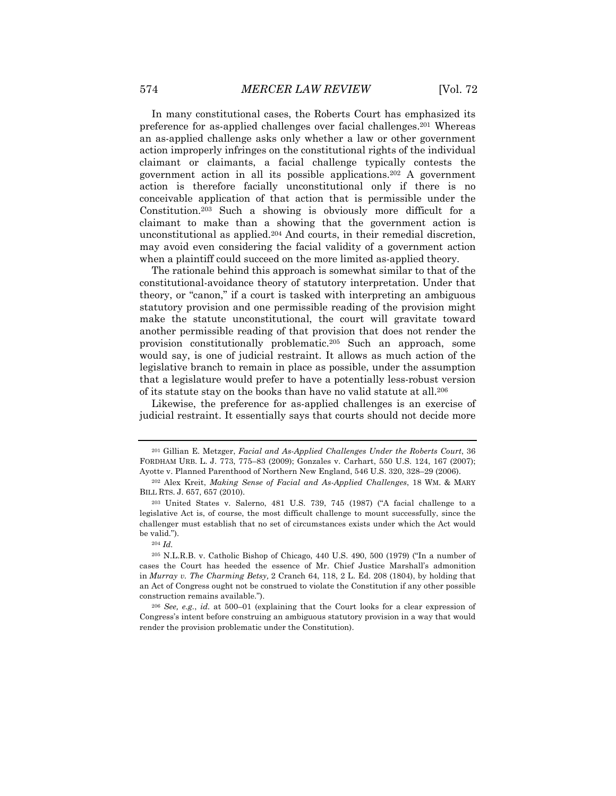In many constitutional cases, the Roberts Court has emphasized its preference for as-applied challenges over facial challenges.201 Whereas an as-applied challenge asks only whether a law or other government action improperly infringes on the constitutional rights of the individual claimant or claimants, a facial challenge typically contests the government action in all its possible applications.202 A government action is therefore facially unconstitutional only if there is no conceivable application of that action that is permissible under the Constitution.203 Such a showing is obviously more difficult for a claimant to make than a showing that the government action is unconstitutional as applied.204 And courts, in their remedial discretion, may avoid even considering the facial validity of a government action when a plaintiff could succeed on the more limited as-applied theory.

The rationale behind this approach is somewhat similar to that of the constitutional-avoidance theory of statutory interpretation. Under that theory, or "canon," if a court is tasked with interpreting an ambiguous statutory provision and one permissible reading of the provision might make the statute unconstitutional, the court will gravitate toward another permissible reading of that provision that does not render the provision constitutionally problematic.205 Such an approach, some would say, is one of judicial restraint. It allows as much action of the legislative branch to remain in place as possible, under the assumption that a legislature would prefer to have a potentially less-robust version of its statute stay on the books than have no valid statute at all.206

Likewise, the preference for as-applied challenges is an exercise of judicial restraint. It essentially says that courts should not decide more

<sup>201</sup> Gillian E. Metzger, *Facial and As-Applied Challenges Under the Roberts Court*, 36 FORDHAM URB. L. J. 773, 775–83 (2009); Gonzales v. Carhart, 550 U.S. 124, 167 (2007); Ayotte v. Planned Parenthood of Northern New England, 546 U.S. 320, 328–29 (2006).

<sup>202</sup> Alex Kreit, *Making Sense of Facial and As-Applied Challenges*, 18 WM. & MARY BILL RTS. J. 657, 657 (2010).

<sup>203</sup> United States v. Salerno, 481 U.S. 739, 745 (1987) ("A facial challenge to a legislative Act is, of course, the most difficult challenge to mount successfully, since the challenger must establish that no set of circumstances exists under which the Act would be valid.").

<sup>204</sup> *Id.*

<sup>205</sup> N.L.R.B. v. Catholic Bishop of Chicago, 440 U.S. 490, 500 (1979) ("In a number of cases the Court has heeded the essence of Mr. Chief Justice Marshall's admonition in *Murray v. The Charming Betsy,* 2 Cranch 64, 118, 2 L. Ed. 208 (1804), by holding that an Act of Congress ought not be construed to violate the Constitution if any other possible construction remains available.").

<sup>206</sup> *See, e.g.*, *id.* at 500–01 (explaining that the Court looks for a clear expression of Congress's intent before construing an ambiguous statutory provision in a way that would render the provision problematic under the Constitution).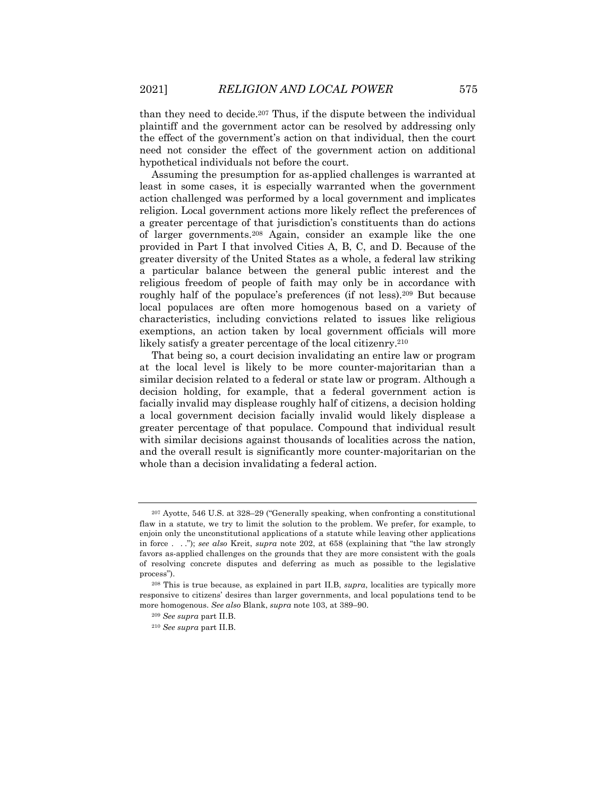than they need to decide.207 Thus, if the dispute between the individual plaintiff and the government actor can be resolved by addressing only the effect of the government's action on that individual, then the court need not consider the effect of the government action on additional hypothetical individuals not before the court.

Assuming the presumption for as-applied challenges is warranted at least in some cases, it is especially warranted when the government action challenged was performed by a local government and implicates religion. Local government actions more likely reflect the preferences of a greater percentage of that jurisdiction's constituents than do actions of larger governments.208 Again, consider an example like the one provided in Part I that involved Cities A, B, C, and D. Because of the greater diversity of the United States as a whole, a federal law striking a particular balance between the general public interest and the religious freedom of people of faith may only be in accordance with roughly half of the populace's preferences (if not less).209 But because local populaces are often more homogenous based on a variety of characteristics, including convictions related to issues like religious exemptions, an action taken by local government officials will more likely satisfy a greater percentage of the local citizenry.<sup>210</sup>

That being so, a court decision invalidating an entire law or program at the local level is likely to be more counter-majoritarian than a similar decision related to a federal or state law or program. Although a decision holding, for example, that a federal government action is facially invalid may displease roughly half of citizens, a decision holding a local government decision facially invalid would likely displease a greater percentage of that populace. Compound that individual result with similar decisions against thousands of localities across the nation, and the overall result is significantly more counter-majoritarian on the whole than a decision invalidating a federal action.

<sup>207</sup> Ayotte, 546 U.S. at 328–29 ("Generally speaking, when confronting a constitutional flaw in a statute, we try to limit the solution to the problem. We prefer, for example, to enjoin only the unconstitutional applications of a statute while leaving other applications in force . . ."); *see also* Kreit, *supra* note 202, at 658 (explaining that "the law strongly favors as-applied challenges on the grounds that they are more consistent with the goals of resolving concrete disputes and deferring as much as possible to the legislative process").

<sup>208</sup> This is true because, as explained in part II.B, *supra*, localities are typically more responsive to citizens' desires than larger governments, and local populations tend to be more homogenous. *See also* Blank, *supra* note 103, at 389–90.

<sup>209</sup> *See supra* part II.B.

<sup>210</sup> *See supra* part II.B.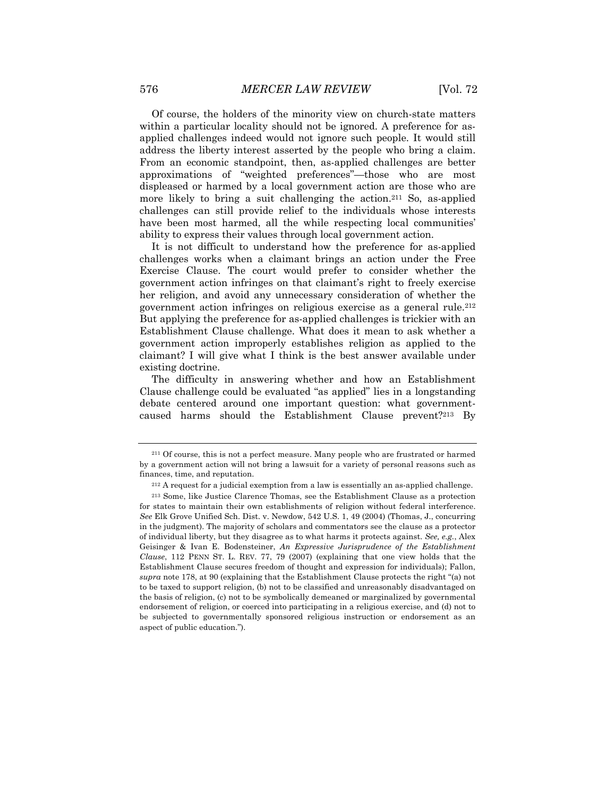Of course, the holders of the minority view on church-state matters within a particular locality should not be ignored. A preference for asapplied challenges indeed would not ignore such people. It would still address the liberty interest asserted by the people who bring a claim. From an economic standpoint, then, as-applied challenges are better approximations of "weighted preferences"—those who are most displeased or harmed by a local government action are those who are more likely to bring a suit challenging the action.<sup>211</sup> So, as-applied challenges can still provide relief to the individuals whose interests have been most harmed, all the while respecting local communities' ability to express their values through local government action.

It is not difficult to understand how the preference for as-applied challenges works when a claimant brings an action under the Free Exercise Clause. The court would prefer to consider whether the government action infringes on that claimant's right to freely exercise her religion, and avoid any unnecessary consideration of whether the government action infringes on religious exercise as a general rule.212 But applying the preference for as-applied challenges is trickier with an Establishment Clause challenge. What does it mean to ask whether a government action improperly establishes religion as applied to the claimant? I will give what I think is the best answer available under existing doctrine.

The difficulty in answering whether and how an Establishment Clause challenge could be evaluated "as applied" lies in a longstanding debate centered around one important question: what governmentcaused harms should the Establishment Clause prevent?213 By

<sup>211</sup> Of course, this is not a perfect measure. Many people who are frustrated or harmed by a government action will not bring a lawsuit for a variety of personal reasons such as finances, time, and reputation.

<sup>212</sup> A request for a judicial exemption from a law is essentially an as-applied challenge.

<sup>213</sup> Some, like Justice Clarence Thomas, see the Establishment Clause as a protection for states to maintain their own establishments of religion without federal interference. *See* Elk Grove Unified Sch. Dist. v. Newdow, 542 U.S. 1, 49 (2004) (Thomas, J., concurring in the judgment). The majority of scholars and commentators see the clause as a protector of individual liberty, but they disagree as to what harms it protects against. *See, e.g.*, Alex Geisinger & Ivan E. Bodensteiner, *An Expressive Jurisprudence of the Establishment Clause*, 112 PENN ST. L. REV. 77, 79 (2007) (explaining that one view holds that the Establishment Clause secures freedom of thought and expression for individuals); Fallon, *supra* note 178, at 90 (explaining that the Establishment Clause protects the right "(a) not to be taxed to support religion, (b) not to be classified and unreasonably disadvantaged on the basis of religion, (c) not to be symbolically demeaned or marginalized by governmental endorsement of religion, or coerced into participating in a religious exercise, and (d) not to be subjected to governmentally sponsored religious instruction or endorsement as an aspect of public education.").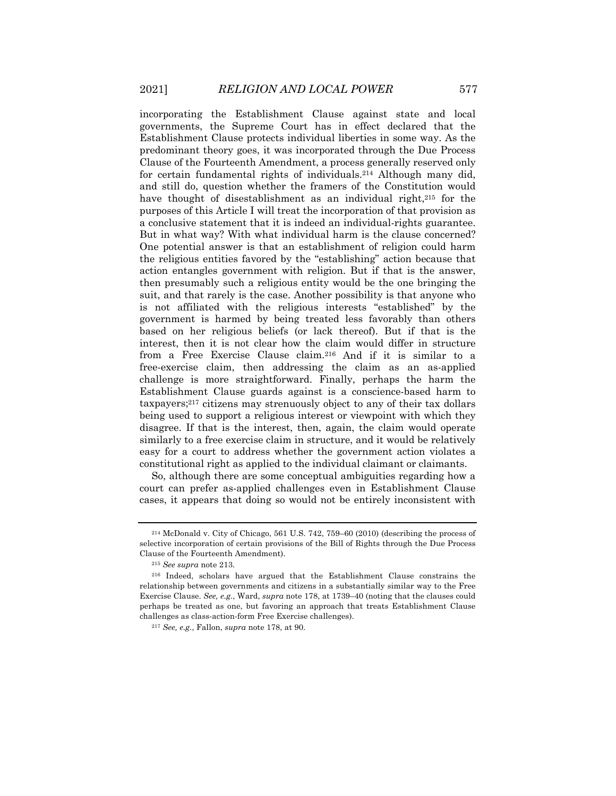incorporating the Establishment Clause against state and local governments, the Supreme Court has in effect declared that the Establishment Clause protects individual liberties in some way. As the predominant theory goes, it was incorporated through the Due Process Clause of the Fourteenth Amendment, a process generally reserved only for certain fundamental rights of individuals.214 Although many did, and still do, question whether the framers of the Constitution would have thought of disestablishment as an individual right,<sup>215</sup> for the purposes of this Article I will treat the incorporation of that provision as a conclusive statement that it is indeed an individual-rights guarantee. But in what way? With what individual harm is the clause concerned? One potential answer is that an establishment of religion could harm the religious entities favored by the "establishing" action because that action entangles government with religion. But if that is the answer, then presumably such a religious entity would be the one bringing the suit, and that rarely is the case. Another possibility is that anyone who is not affiliated with the religious interests "established" by the government is harmed by being treated less favorably than others based on her religious beliefs (or lack thereof). But if that is the interest, then it is not clear how the claim would differ in structure from a Free Exercise Clause claim.216 And if it is similar to a free-exercise claim, then addressing the claim as an as-applied challenge is more straightforward. Finally, perhaps the harm the Establishment Clause guards against is a conscience-based harm to taxpayers;217 citizens may strenuously object to any of their tax dollars being used to support a religious interest or viewpoint with which they disagree. If that is the interest, then, again, the claim would operate similarly to a free exercise claim in structure, and it would be relatively easy for a court to address whether the government action violates a constitutional right as applied to the individual claimant or claimants.

So, although there are some conceptual ambiguities regarding how a court can prefer as-applied challenges even in Establishment Clause cases, it appears that doing so would not be entirely inconsistent with

<sup>214</sup> McDonald v. City of Chicago, 561 U.S. 742, 759–60 (2010) (describing the process of selective incorporation of certain provisions of the Bill of Rights through the Due Process Clause of the Fourteenth Amendment).

<sup>215</sup> *See supra* note 213.

<sup>216</sup> Indeed, scholars have argued that the Establishment Clause constrains the relationship between governments and citizens in a substantially similar way to the Free Exercise Clause. *See, e.g.*, Ward, *supra* note 178, at 1739–40 (noting that the clauses could perhaps be treated as one, but favoring an approach that treats Establishment Clause challenges as class-action-form Free Exercise challenges).

<sup>217</sup> *See, e.g.*, Fallon, *supra* note 178, at 90.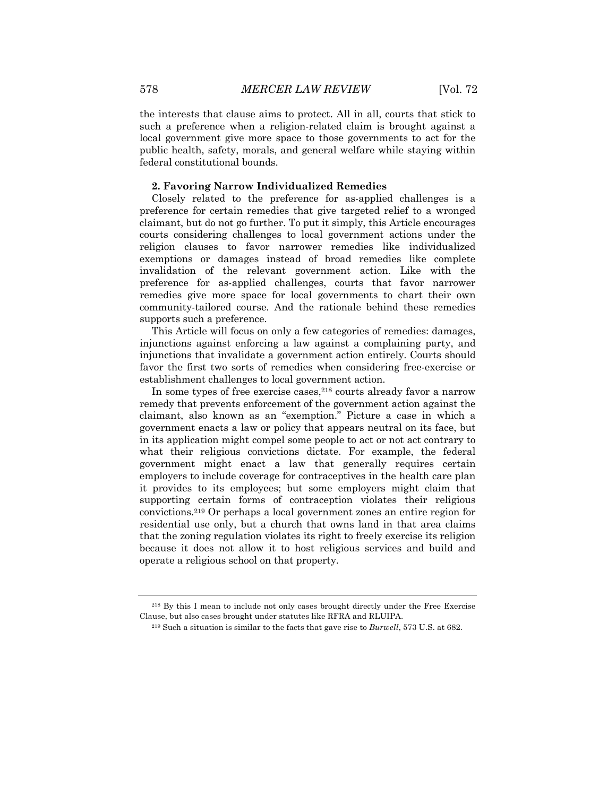the interests that clause aims to protect. All in all, courts that stick to such a preference when a religion-related claim is brought against a local government give more space to those governments to act for the public health, safety, morals, and general welfare while staying within federal constitutional bounds.

# **2. Favoring Narrow Individualized Remedies**

Closely related to the preference for as-applied challenges is a preference for certain remedies that give targeted relief to a wronged claimant, but do not go further. To put it simply, this Article encourages courts considering challenges to local government actions under the religion clauses to favor narrower remedies like individualized exemptions or damages instead of broad remedies like complete invalidation of the relevant government action. Like with the preference for as-applied challenges, courts that favor narrower remedies give more space for local governments to chart their own community-tailored course. And the rationale behind these remedies supports such a preference.

This Article will focus on only a few categories of remedies: damages, injunctions against enforcing a law against a complaining party, and injunctions that invalidate a government action entirely. Courts should favor the first two sorts of remedies when considering free-exercise or establishment challenges to local government action.

In some types of free exercise cases,218 courts already favor a narrow remedy that prevents enforcement of the government action against the claimant, also known as an "exemption." Picture a case in which a government enacts a law or policy that appears neutral on its face, but in its application might compel some people to act or not act contrary to what their religious convictions dictate. For example, the federal government might enact a law that generally requires certain employers to include coverage for contraceptives in the health care plan it provides to its employees; but some employers might claim that supporting certain forms of contraception violates their religious convictions.219 Or perhaps a local government zones an entire region for residential use only, but a church that owns land in that area claims that the zoning regulation violates its right to freely exercise its religion because it does not allow it to host religious services and build and operate a religious school on that property.

<sup>218</sup> By this I mean to include not only cases brought directly under the Free Exercise Clause, but also cases brought under statutes like RFRA and RLUIPA.

<sup>219</sup> Such a situation is similar to the facts that gave rise to *Burwell*, 573 U.S. at 682.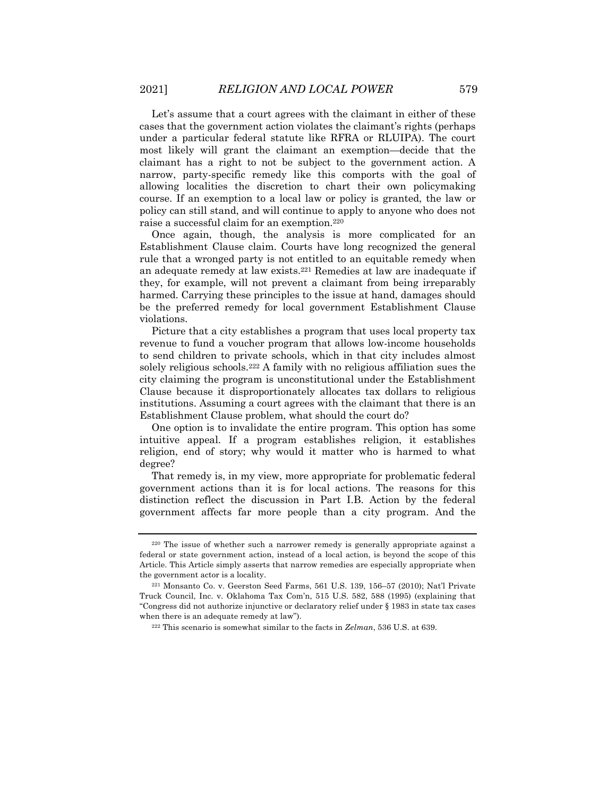Let's assume that a court agrees with the claimant in either of these cases that the government action violates the claimant's rights (perhaps under a particular federal statute like RFRA or RLUIPA). The court most likely will grant the claimant an exemption—decide that the claimant has a right to not be subject to the government action. A narrow, party-specific remedy like this comports with the goal of allowing localities the discretion to chart their own policymaking course. If an exemption to a local law or policy is granted, the law or policy can still stand, and will continue to apply to anyone who does not raise a successful claim for an exemption.220

Once again, though, the analysis is more complicated for an Establishment Clause claim. Courts have long recognized the general rule that a wronged party is not entitled to an equitable remedy when an adequate remedy at law exists.221 Remedies at law are inadequate if they, for example, will not prevent a claimant from being irreparably harmed. Carrying these principles to the issue at hand, damages should be the preferred remedy for local government Establishment Clause violations.

Picture that a city establishes a program that uses local property tax revenue to fund a voucher program that allows low-income households to send children to private schools, which in that city includes almost solely religious schools.222 A family with no religious affiliation sues the city claiming the program is unconstitutional under the Establishment Clause because it disproportionately allocates tax dollars to religious institutions. Assuming a court agrees with the claimant that there is an Establishment Clause problem, what should the court do?

One option is to invalidate the entire program. This option has some intuitive appeal. If a program establishes religion, it establishes religion, end of story; why would it matter who is harmed to what degree?

That remedy is, in my view, more appropriate for problematic federal government actions than it is for local actions. The reasons for this distinction reflect the discussion in Part I.B. Action by the federal government affects far more people than a city program. And the

<sup>220</sup> The issue of whether such a narrower remedy is generally appropriate against a federal or state government action, instead of a local action, is beyond the scope of this Article. This Article simply asserts that narrow remedies are especially appropriate when the government actor is a locality.

<sup>221</sup> Monsanto Co. v. Geerston Seed Farms, 561 U.S. 139, 156–57 (2010); Nat'l Private Truck Council, Inc. v. Oklahoma Tax Com'n, 515 U.S. 582, 588 (1995) (explaining that "Congress did not authorize injunctive or declaratory relief under § 1983 in state tax cases when there is an adequate remedy at law").

<sup>222</sup> This scenario is somewhat similar to the facts in *Zelman*, 536 U.S. at 639.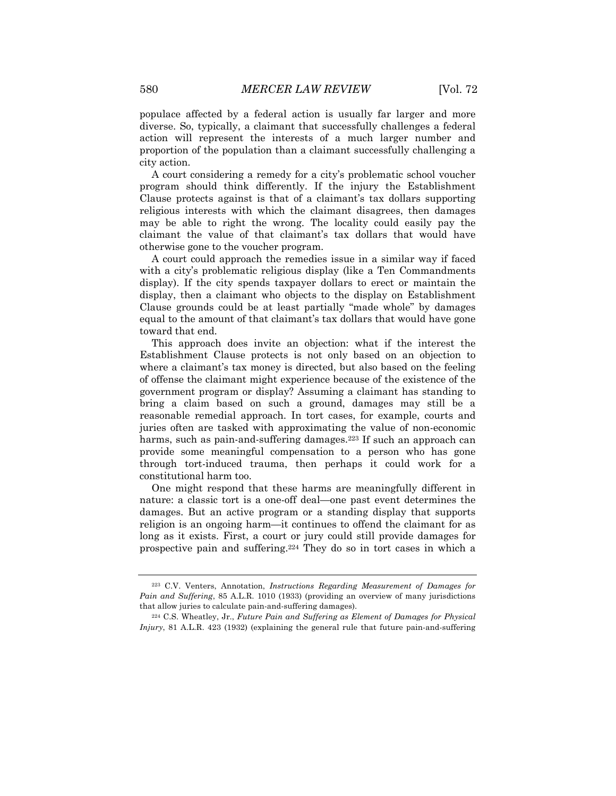populace affected by a federal action is usually far larger and more diverse. So, typically, a claimant that successfully challenges a federal action will represent the interests of a much larger number and proportion of the population than a claimant successfully challenging a city action.

A court considering a remedy for a city's problematic school voucher program should think differently. If the injury the Establishment Clause protects against is that of a claimant's tax dollars supporting religious interests with which the claimant disagrees, then damages may be able to right the wrong. The locality could easily pay the claimant the value of that claimant's tax dollars that would have otherwise gone to the voucher program.

A court could approach the remedies issue in a similar way if faced with a city's problematic religious display (like a Ten Commandments display). If the city spends taxpayer dollars to erect or maintain the display, then a claimant who objects to the display on Establishment Clause grounds could be at least partially "made whole" by damages equal to the amount of that claimant's tax dollars that would have gone toward that end.

This approach does invite an objection: what if the interest the Establishment Clause protects is not only based on an objection to where a claimant's tax money is directed, but also based on the feeling of offense the claimant might experience because of the existence of the government program or display? Assuming a claimant has standing to bring a claim based on such a ground, damages may still be a reasonable remedial approach. In tort cases, for example, courts and juries often are tasked with approximating the value of non-economic harms, such as pain-and-suffering damages.<sup>223</sup> If such an approach can provide some meaningful compensation to a person who has gone through tort-induced trauma, then perhaps it could work for a constitutional harm too.

One might respond that these harms are meaningfully different in nature: a classic tort is a one-off deal—one past event determines the damages. But an active program or a standing display that supports religion is an ongoing harm—it continues to offend the claimant for as long as it exists. First, a court or jury could still provide damages for prospective pain and suffering.224 They do so in tort cases in which a

<sup>223</sup> C.V. Venters, Annotation, *Instructions Regarding Measurement of Damages for Pain and Suffering*, 85 A.L.R. 1010 (1933) (providing an overview of many jurisdictions that allow juries to calculate pain-and-suffering damages).

<sup>224</sup> C.S. Wheatley, Jr., *Future Pain and Suffering as Element of Damages for Physical Injury*, 81 A.L.R. 423 (1932) (explaining the general rule that future pain-and-suffering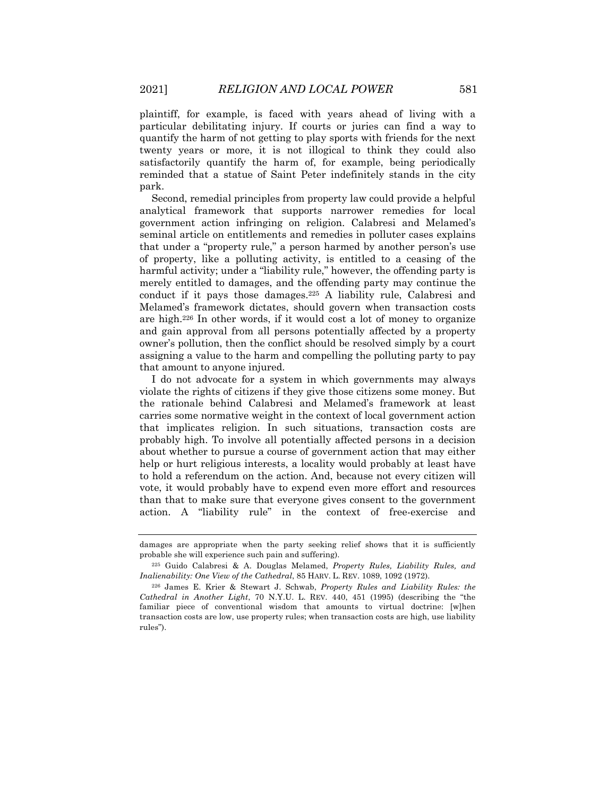plaintiff, for example, is faced with years ahead of living with a particular debilitating injury. If courts or juries can find a way to quantify the harm of not getting to play sports with friends for the next twenty years or more, it is not illogical to think they could also satisfactorily quantify the harm of, for example, being periodically reminded that a statue of Saint Peter indefinitely stands in the city park.

Second, remedial principles from property law could provide a helpful analytical framework that supports narrower remedies for local government action infringing on religion. Calabresi and Melamed's seminal article on entitlements and remedies in polluter cases explains that under a "property rule," a person harmed by another person's use of property, like a polluting activity, is entitled to a ceasing of the harmful activity; under a "liability rule," however, the offending party is merely entitled to damages, and the offending party may continue the conduct if it pays those damages.225 A liability rule, Calabresi and Melamed's framework dictates, should govern when transaction costs are high.226 In other words, if it would cost a lot of money to organize and gain approval from all persons potentially affected by a property owner's pollution, then the conflict should be resolved simply by a court assigning a value to the harm and compelling the polluting party to pay that amount to anyone injured.

I do not advocate for a system in which governments may always violate the rights of citizens if they give those citizens some money. But the rationale behind Calabresi and Melamed's framework at least carries some normative weight in the context of local government action that implicates religion. In such situations, transaction costs are probably high. To involve all potentially affected persons in a decision about whether to pursue a course of government action that may either help or hurt religious interests, a locality would probably at least have to hold a referendum on the action. And, because not every citizen will vote, it would probably have to expend even more effort and resources than that to make sure that everyone gives consent to the government action. A "liability rule" in the context of free-exercise and

damages are appropriate when the party seeking relief shows that it is sufficiently probable she will experience such pain and suffering).

<sup>225</sup> Guido Calabresi & A. Douglas Melamed, *Property Rules, Liability Rules, and Inalienability: One View of the Cathedral*, 85 HARV. L. REV. 1089, 1092 (1972).

<sup>226</sup> James E. Krier & Stewart J. Schwab, *Property Rules and Liability Rules: the Cathedral in Another Light*, 70 N.Y.U. L. REV. 440, 451 (1995) (describing the "the familiar piece of conventional wisdom that amounts to virtual doctrine: [w]hen transaction costs are low, use property rules; when transaction costs are high, use liability rules").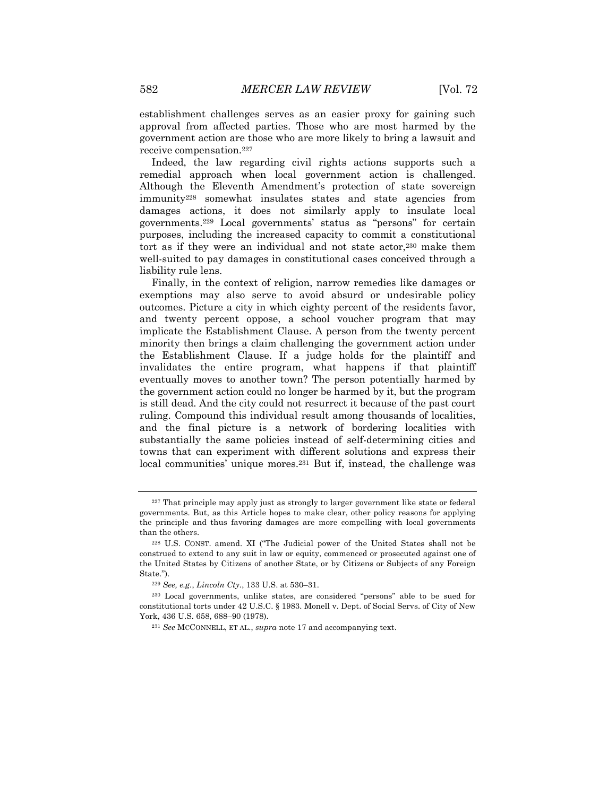establishment challenges serves as an easier proxy for gaining such approval from affected parties. Those who are most harmed by the government action are those who are more likely to bring a lawsuit and receive compensation.227

Indeed, the law regarding civil rights actions supports such a remedial approach when local government action is challenged. Although the Eleventh Amendment's protection of state sovereign immunity228 somewhat insulates states and state agencies from damages actions, it does not similarly apply to insulate local governments.229 Local governments' status as "persons" for certain purposes, including the increased capacity to commit a constitutional tort as if they were an individual and not state actor,230 make them well-suited to pay damages in constitutional cases conceived through a liability rule lens.

Finally, in the context of religion, narrow remedies like damages or exemptions may also serve to avoid absurd or undesirable policy outcomes. Picture a city in which eighty percent of the residents favor, and twenty percent oppose, a school voucher program that may implicate the Establishment Clause. A person from the twenty percent minority then brings a claim challenging the government action under the Establishment Clause. If a judge holds for the plaintiff and invalidates the entire program, what happens if that plaintiff eventually moves to another town? The person potentially harmed by the government action could no longer be harmed by it, but the program is still dead. And the city could not resurrect it because of the past court ruling. Compound this individual result among thousands of localities, and the final picture is a network of bordering localities with substantially the same policies instead of self-determining cities and towns that can experiment with different solutions and express their local communities' unique mores.<sup>231</sup> But if, instead, the challenge was

<sup>227</sup> That principle may apply just as strongly to larger government like state or federal governments. But, as this Article hopes to make clear, other policy reasons for applying the principle and thus favoring damages are more compelling with local governments than the others.

<sup>228</sup> U.S. CONST. amend. XI ("The Judicial power of the United States shall not be construed to extend to any suit in law or equity, commenced or prosecuted against one of the United States by Citizens of another State, or by Citizens or Subjects of any Foreign State.").

<sup>229</sup> *See, e.g.*, *Lincoln Cty.*, 133 U.S. at 530–31.

<sup>230</sup> Local governments, unlike states, are considered "persons" able to be sued for constitutional torts under 42 U.S.C. § 1983. Monell v. Dept. of Social Servs. of City of New York, 436 U.S. 658, 688–90 (1978).

<sup>231</sup> *See* MCCONNELL, ET AL., *supra* note 17 and accompanying text.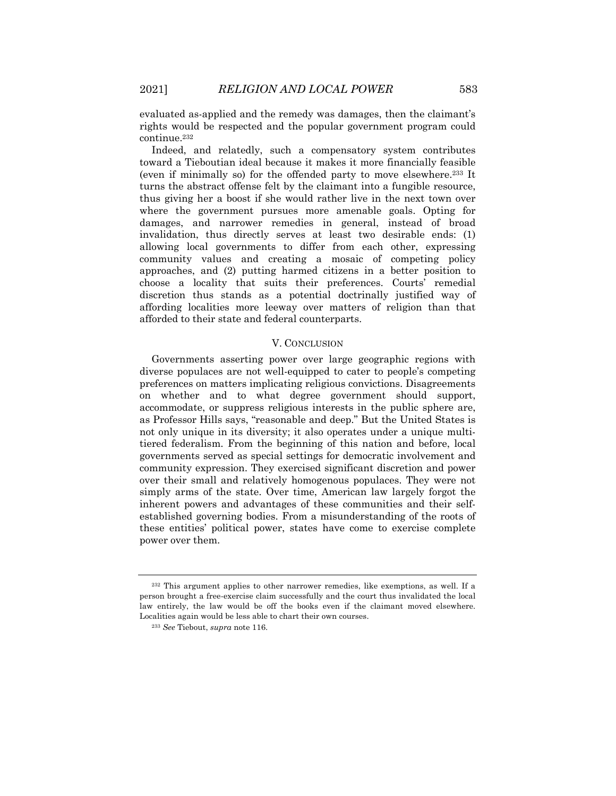evaluated as-applied and the remedy was damages, then the claimant's rights would be respected and the popular government program could continue.232

Indeed, and relatedly, such a compensatory system contributes toward a Tieboutian ideal because it makes it more financially feasible (even if minimally so) for the offended party to move elsewhere.233 It turns the abstract offense felt by the claimant into a fungible resource, thus giving her a boost if she would rather live in the next town over where the government pursues more amenable goals. Opting for damages, and narrower remedies in general, instead of broad invalidation, thus directly serves at least two desirable ends: (1) allowing local governments to differ from each other, expressing community values and creating a mosaic of competing policy approaches, and (2) putting harmed citizens in a better position to choose a locality that suits their preferences. Courts' remedial discretion thus stands as a potential doctrinally justified way of affording localities more leeway over matters of religion than that afforded to their state and federal counterparts.

# V. CONCLUSION

Governments asserting power over large geographic regions with diverse populaces are not well-equipped to cater to people's competing preferences on matters implicating religious convictions. Disagreements on whether and to what degree government should support, accommodate, or suppress religious interests in the public sphere are, as Professor Hills says, "reasonable and deep." But the United States is not only unique in its diversity; it also operates under a unique multitiered federalism. From the beginning of this nation and before, local governments served as special settings for democratic involvement and community expression. They exercised significant discretion and power over their small and relatively homogenous populaces. They were not simply arms of the state. Over time, American law largely forgot the inherent powers and advantages of these communities and their selfestablished governing bodies. From a misunderstanding of the roots of these entities' political power, states have come to exercise complete power over them.

<sup>232</sup> This argument applies to other narrower remedies, like exemptions, as well. If a person brought a free-exercise claim successfully and the court thus invalidated the local law entirely, the law would be off the books even if the claimant moved elsewhere. Localities again would be less able to chart their own courses.

<sup>233</sup> *See* Tiebout, *supra* note 116.